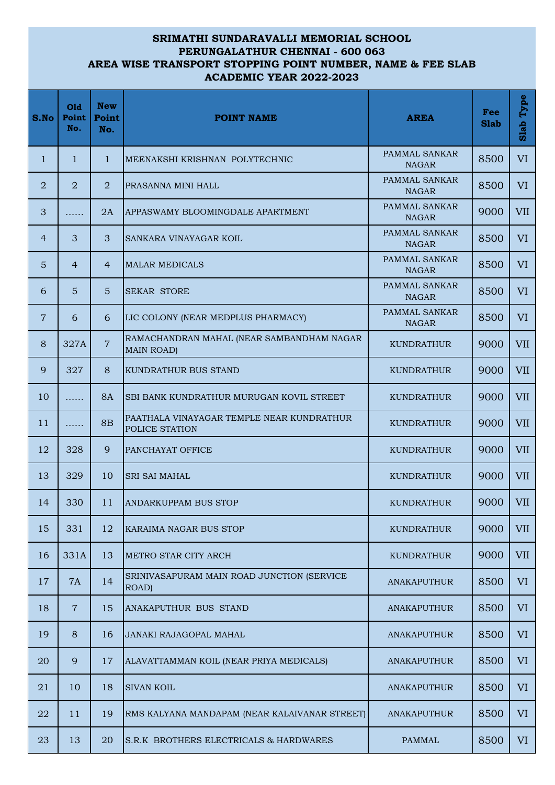## **SRIMATHI SUNDARAVALLI MEMORIAL SCHOOL PERUNGALATHUR CHENNAI - 600 063 AREA WISE TRANSPORT STOPPING POINT NUMBER, NAME & FEE SLAB ACADEMIC YEAR 2022-2023**

| S.No           | Old<br>Point<br>No. | <b>New</b><br>Point<br>No. | <b>POINT NAME</b>                                              | <b>AREA</b>                   | Fee<br><b>Slab</b> | Type<br>Slab |
|----------------|---------------------|----------------------------|----------------------------------------------------------------|-------------------------------|--------------------|--------------|
| $\mathbf{1}$   | $\mathbf{1}$        | $\mathbf{1}$               | MEENAKSHI KRISHNAN POLYTECHNIC                                 | PAMMAL SANKAR<br><b>NAGAR</b> | 8500               | VI           |
| $\overline{2}$ | $\overline{2}$      | $\overline{2}$             | PRASANNA MINI HALL                                             | PAMMAL SANKAR<br><b>NAGAR</b> | 8500               | VI           |
| 3              | .                   | 2A                         | APPASWAMY BLOOMINGDALE APARTMENT                               | PAMMAL SANKAR<br><b>NAGAR</b> | 9000               | <b>VII</b>   |
| $\overline{4}$ | 3                   | 3                          | SANKARA VINAYAGAR KOIL                                         | PAMMAL SANKAR<br><b>NAGAR</b> | 8500               | <b>VI</b>    |
| 5              | $\overline{4}$      | $\overline{4}$             | <b>MALAR MEDICALS</b>                                          | PAMMAL SANKAR<br><b>NAGAR</b> | 8500               | <b>VI</b>    |
| 6              | $5\phantom{1}$      | 5                          | <b>SEKAR STORE</b>                                             | PAMMAL SANKAR<br><b>NAGAR</b> | 8500               | VI           |
| $\overline{7}$ | 6                   | 6                          | LIC COLONY (NEAR MEDPLUS PHARMACY)                             | PAMMAL SANKAR<br><b>NAGAR</b> | 8500               | <b>VI</b>    |
| 8              | 327A                | $\overline{7}$             | RAMACHANDRAN MAHAL (NEAR SAMBANDHAM NAGAR<br><b>MAIN ROAD)</b> | <b>KUNDRATHUR</b>             | 9000               | <b>VII</b>   |
| 9              | 327                 | 8                          | KUNDRATHUR BUS STAND                                           | <b>KUNDRATHUR</b>             | 9000               | <b>VII</b>   |
| 10             | .                   | <b>8A</b>                  | SBI BANK KUNDRATHUR MURUGAN KOVIL STREET                       | <b>KUNDRATHUR</b>             | 9000               | VII          |
| 11             | .                   | 8B                         | PAATHALA VINAYAGAR TEMPLE NEAR KUNDRATHUR<br>POLICE STATION    | <b>KUNDRATHUR</b>             | 9000               | <b>VII</b>   |
| 12             | 328                 | 9                          | PANCHAYAT OFFICE                                               | <b>KUNDRATHUR</b>             | 9000               | <b>VII</b>   |
| 13             | 329                 | 10                         | <b>SRI SAI MAHAL</b>                                           | <b>KUNDRATHUR</b>             | 9000               | VII          |
| 14             | 330                 | 11                         | <b>ANDARKUPPAM BUS STOP</b>                                    | KUNDRATHUR                    | 9000               | <b>VII</b>   |
| 15             | 331                 | 12                         | KARAIMA NAGAR BUS STOP                                         | KUNDRATHUR                    | 9000               | VII          |
| 16             | 331A                | 13                         | METRO STAR CITY ARCH                                           | <b>KUNDRATHUR</b>             | 9000               | <b>VII</b>   |
| 17             | <b>7A</b>           | 14                         | SRINIVASAPURAM MAIN ROAD JUNCTION (SERVICE<br>ROAD)            | ANAKAPUTHUR                   | 8500               | <b>VI</b>    |
| 18             | $\overline{7}$      | 15                         | ANAKAPUTHUR BUS STAND                                          | <b>ANAKAPUTHUR</b>            | 8500               | VI           |
| 19             | 8                   | 16                         | JANAKI RAJAGOPAL MAHAL                                         | ANAKAPUTHUR                   | 8500               | VI           |
| 20             | 9                   | 17                         | ALAVATTAMMAN KOIL (NEAR PRIYA MEDICALS)                        | ANAKAPUTHUR                   | 8500               | <b>VI</b>    |
| 21             | 10                  | 18                         | <b>SIVAN KOIL</b>                                              | ANAKAPUTHUR                   | 8500               | VI           |
| 22             | 11                  | 19                         | RMS KALYANA MANDAPAM (NEAR KALAIVANAR STREET)                  | <b>ANAKAPUTHUR</b>            | 8500               | VI           |
| 23             | 13                  | 20                         | S.R.K BROTHERS ELECTRICALS & HARDWARES                         | PAMMAL                        | 8500               | VI           |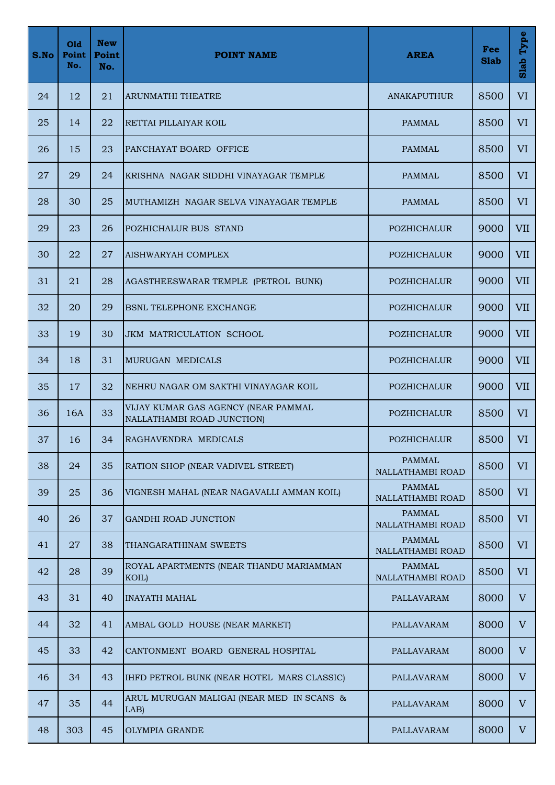| S.No | Old<br>Point<br>No. | <b>New</b><br>Point<br>No. | <b>POINT NAME</b>                                                 | <b>AREA</b>                       | Fee<br><b>Slab</b> | Type<br>Slab |
|------|---------------------|----------------------------|-------------------------------------------------------------------|-----------------------------------|--------------------|--------------|
| 24   | 12                  | 21                         | ARUNMATHI THEATRE                                                 | <b>ANAKAPUTHUR</b>                | 8500               | <b>VI</b>    |
| 25   | 14                  | 22                         | RETTAI PILLAIYAR KOIL                                             | <b>PAMMAL</b>                     | 8500               | <b>VI</b>    |
| 26   | 15                  | 23                         | PANCHAYAT BOARD OFFICE                                            | <b>PAMMAL</b>                     | 8500               | <b>VI</b>    |
| 27   | 29                  | 24                         | KRISHNA NAGAR SIDDHI VINAYAGAR TEMPLE                             | <b>PAMMAL</b>                     | 8500               | <b>VI</b>    |
| 28   | 30                  | 25                         | MUTHAMIZH NAGAR SELVA VINAYAGAR TEMPLE                            | <b>PAMMAL</b>                     | 8500               | <b>VI</b>    |
| 29   | 23                  | 26                         | POZHICHALUR BUS STAND                                             | POZHICHALUR                       | 9000               | <b>VII</b>   |
| 30   | 22                  | 27                         | AISHWARYAH COMPLEX                                                | <b>POZHICHALUR</b>                | 9000               | <b>VII</b>   |
| 31   | 21                  | 28                         | AGASTHEESWARAR TEMPLE (PETROL BUNK)                               | <b>POZHICHALUR</b>                | 9000               | <b>VII</b>   |
| 32   | 20                  | 29                         | <b>BSNL TELEPHONE EXCHANGE</b>                                    | <b>POZHICHALUR</b>                | 9000               | <b>VII</b>   |
| 33   | 19                  | 30                         | <b>JKM MATRICULATION SCHOOL</b>                                   | <b>POZHICHALUR</b>                | 9000               | <b>VII</b>   |
| 34   | 18                  | 31                         | MURUGAN MEDICALS                                                  | <b>POZHICHALUR</b>                | 9000               | <b>VII</b>   |
| 35   | 17                  | 32                         | NEHRU NAGAR OM SAKTHI VINAYAGAR KOIL                              | <b>POZHICHALUR</b>                | 9000               | <b>VII</b>   |
| 36   | 16A                 | 33                         | VIJAY KUMAR GAS AGENCY (NEAR PAMMAL<br>NALLATHAMBI ROAD JUNCTION) | POZHICHALUR                       | 8500               | <b>VI</b>    |
| 37   | 16                  | 34                         | RAGHAVENDRA MEDICALS                                              | POZHICHALUR                       | 8500               | VI           |
| 38   | 24                  | 35                         | RATION SHOP (NEAR VADIVEL STREET)                                 | <b>PAMMAL</b><br>NALLATHAMBI ROAD | 8500               | VI           |
| 39   | 25                  | 36                         | VIGNESH MAHAL (NEAR NAGAVALLI AMMAN KOIL)                         | <b>PAMMAL</b><br>NALLATHAMBI ROAD | 8500               | VI           |
| 40   | 26                  | 37                         | GANDHI ROAD JUNCTION                                              | <b>PAMMAL</b><br>NALLATHAMBI ROAD | 8500               | VI           |
| 41   | 27                  | 38                         | THANGARATHINAM SWEETS                                             | <b>PAMMAL</b><br>NALLATHAMBI ROAD | 8500               | VI           |
| 42   | 28                  | 39                         | ROYAL APARTMENTS (NEAR THANDU MARIAMMAN<br>KOIL)                  | <b>PAMMAL</b><br>NALLATHAMBI ROAD | 8500               | VI           |
| 43   | 31                  | 40                         | <b>INAYATH MAHAL</b>                                              | PALLAVARAM                        | 8000               | V            |
| 44   | 32                  | 41                         | AMBAL GOLD HOUSE (NEAR MARKET)                                    | PALLAVARAM                        | 8000               | V            |
| 45   | 33                  | 42                         | CANTONMENT BOARD GENERAL HOSPITAL                                 | PALLAVARAM                        | 8000               | $V_{\rm}$    |
| 46   | 34                  | 43                         | IHFD PETROL BUNK (NEAR HOTEL MARS CLASSIC)                        | PALLAVARAM                        | 8000               | V            |
| 47   | 35                  | 44                         | ARUL MURUGAN MALIGAI (NEAR MED IN SCANS &<br>LAB)                 | PALLAVARAM                        | 8000               | V            |
| 48   | 303                 | 45                         | <b>OLYMPIA GRANDE</b>                                             | PALLAVARAM                        | 8000               | V            |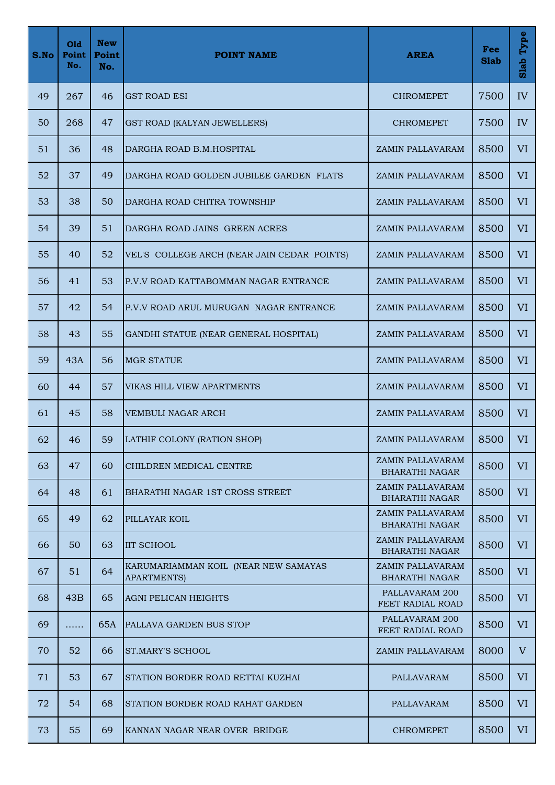| S.No | Old<br>Point<br>No. | <b>New</b><br>Point<br>No. | <b>POINT NAME</b>                                          | <b>AREA</b>                               | Fee<br><b>Slab</b> | Type<br>Slab |
|------|---------------------|----------------------------|------------------------------------------------------------|-------------------------------------------|--------------------|--------------|
| 49   | 267                 | 46                         | <b>GST ROAD ESI</b>                                        | <b>CHROMEPET</b>                          | 7500               | IV           |
| 50   | 268                 | 47                         | GST ROAD (KALYAN JEWELLERS)                                | <b>CHROMEPET</b>                          | 7500               | IV           |
| 51   | 36                  | 48                         | DARGHA ROAD B.M.HOSPITAL                                   | ZAMIN PALLAVARAM                          | 8500               | VI           |
| 52   | 37                  | 49                         | DARGHA ROAD GOLDEN JUBILEE GARDEN FLATS                    | ZAMIN PALLAVARAM                          | 8500               | <b>VI</b>    |
| 53   | 38                  | 50                         | DARGHA ROAD CHITRA TOWNSHIP                                | ZAMIN PALLAVARAM                          | 8500               | VI           |
| 54   | 39                  | 51                         | DARGHA ROAD JAINS GREEN ACRES                              | ZAMIN PALLAVARAM                          | 8500               | <b>VI</b>    |
| 55   | 40                  | 52                         | VEL'S COLLEGE ARCH (NEAR JAIN CEDAR POINTS)                | ZAMIN PALLAVARAM                          | 8500               | VI           |
| 56   | 41                  | 53                         | P.V.V ROAD KATTABOMMAN NAGAR ENTRANCE                      | ZAMIN PALLAVARAM                          | 8500               | VI           |
| 57   | 42                  | 54                         | P.V.V ROAD ARUL MURUGAN NAGAR ENTRANCE                     | ZAMIN PALLAVARAM                          | 8500               | <b>VI</b>    |
| 58   | 43                  | 55                         | GANDHI STATUE (NEAR GENERAL HOSPITAL)                      | ZAMIN PALLAVARAM                          | 8500               | VI           |
| 59   | 43A                 | 56                         | <b>MGR STATUE</b>                                          | ZAMIN PALLAVARAM                          | 8500               | VI           |
| 60   | 44                  | 57                         | VIKAS HILL VIEW APARTMENTS                                 | ZAMIN PALLAVARAM                          | 8500               | VI           |
| 61   | 45                  | 58                         | VEMBULI NAGAR ARCH                                         | ZAMIN PALLAVARAM                          | 8500               | <b>VI</b>    |
| 62   | 46                  | 59                         | LATHIF COLONY (RATION SHOP)                                | ZAMIN PALLAVARAM                          | 8500               | VI           |
| 63   | 47                  | 60                         | CHILDREN MEDICAL CENTRE                                    | ZAMIN PALLAVARAM<br><b>BHARATHI NAGAR</b> | 8500               | VI           |
| 64   | 48                  | 61                         | BHARATHI NAGAR 1ST CROSS STREET                            | ZAMIN PALLAVARAM<br><b>BHARATHI NAGAR</b> | 8500               | VI           |
| 65   | 49                  | 62                         | PILLAYAR KOIL                                              | ZAMIN PALLAVARAM<br><b>BHARATHI NAGAR</b> | 8500               | VI           |
| 66   | 50                  | 63                         | <b>IIT SCHOOL</b>                                          | ZAMIN PALLAVARAM<br><b>BHARATHI NAGAR</b> | 8500               | VI           |
| 67   | 51                  | 64                         | KARUMARIAMMAN KOIL (NEAR NEW SAMAYAS<br><b>APARTMENTS)</b> | ZAMIN PALLAVARAM<br><b>BHARATHI NAGAR</b> | 8500               | VI           |
| 68   | 43B                 | 65                         | <b>AGNI PELICAN HEIGHTS</b>                                | PALLAVARAM 200<br>FEET RADIAL ROAD        | 8500               | VI           |
| 69   | .                   | 65A                        | <b>PALLAVA GARDEN BUS STOP</b>                             | PALLAVARAM 200<br>FEET RADIAL ROAD        | 8500               | VI           |
| 70   | 52                  | 66                         | <b>ST.MARY'S SCHOOL</b>                                    | ZAMIN PALLAVARAM                          | 8000               | V            |
| 71   | 53                  | 67                         | STATION BORDER ROAD RETTAI KUZHAI                          | <b>PALLAVARAM</b>                         | 8500               | VI           |
| 72   | 54                  | 68                         | STATION BORDER ROAD RAHAT GARDEN                           | PALLAVARAM                                | 8500               | <b>VI</b>    |
| 73   | 55                  | 69                         | KANNAN NAGAR NEAR OVER BRIDGE                              | <b>CHROMEPET</b>                          | 8500               | VI           |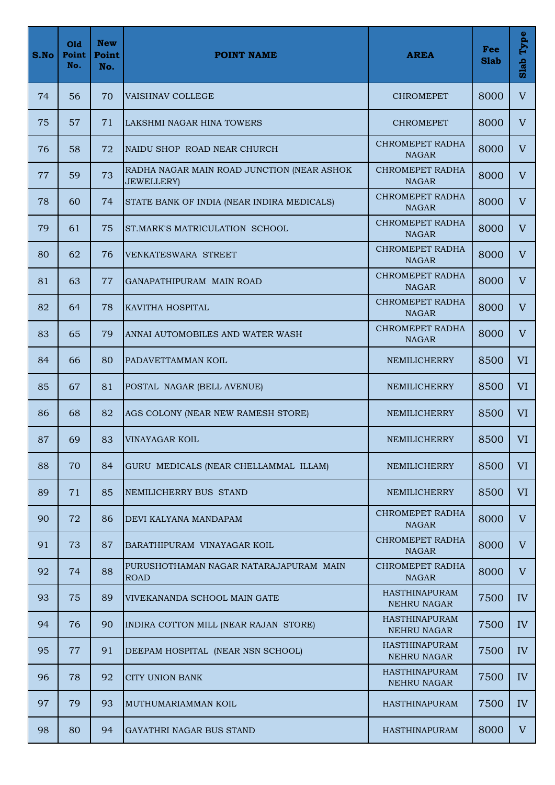| S.No | Old<br>Point<br>No. | <b>New</b><br>Point<br>No. | <b>POINT NAME</b>                                                | <b>AREA</b>                         | Fee<br><b>Slab</b> | Type<br>Slab   |
|------|---------------------|----------------------------|------------------------------------------------------------------|-------------------------------------|--------------------|----------------|
| 74   | 56                  | 70                         | <b>VAISHNAV COLLEGE</b>                                          | <b>CHROMEPET</b>                    | 8000               | V              |
| 75   | 57                  | 71                         | LAKSHMI NAGAR HINA TOWERS                                        | <b>CHROMEPET</b>                    | 8000               | $\mathbf{V}$   |
| 76   | 58                  | 72                         | NAIDU SHOP ROAD NEAR CHURCH                                      | CHROMEPET RADHA<br><b>NAGAR</b>     | 8000               | $\overline{V}$ |
| 77   | 59                  | 73                         | RADHA NAGAR MAIN ROAD JUNCTION (NEAR ASHOK<br><b>JEWELLERY</b> ) | CHROMEPET RADHA<br><b>NAGAR</b>     | 8000               | V              |
| 78   | 60                  | 74                         | STATE BANK OF INDIA (NEAR INDIRA MEDICALS)                       | CHROMEPET RADHA<br><b>NAGAR</b>     | 8000               | $\overline{V}$ |
| 79   | 61                  | 75                         | ST.MARK'S MATRICULATION SCHOOL                                   | CHROMEPET RADHA<br><b>NAGAR</b>     | 8000               | $\mathbf{V}$   |
| 80   | 62                  | 76                         | <b>VENKATESWARA STREET</b>                                       | CHROMEPET RADHA<br><b>NAGAR</b>     | 8000               | $\overline{V}$ |
| 81   | 63                  | 77                         | GANAPATHIPURAM MAIN ROAD                                         | CHROMEPET RADHA<br><b>NAGAR</b>     | 8000               | V              |
| 82   | 64                  | 78                         | KAVITHA HOSPITAL                                                 | CHROMEPET RADHA<br><b>NAGAR</b>     | 8000               | $\overline{V}$ |
| 83   | 65                  | 79                         | ANNAI AUTOMOBILES AND WATER WASH                                 | CHROMEPET RADHA<br><b>NAGAR</b>     | 8000               | $\overline{V}$ |
| 84   | 66                  | 80                         | PADAVETTAMMAN KOIL                                               | NEMILICHERRY                        | 8500               | VI             |
| 85   | 67                  | 81                         | POSTAL NAGAR (BELL AVENUE)                                       | <b>NEMILICHERRY</b>                 | 8500               | VI             |
| 86   | 68                  | 82                         | AGS COLONY (NEAR NEW RAMESH STORE)                               | NEMILICHERRY                        | 8500               | <b>VI</b>      |
| 87   | 69                  | 83                         | <b>VINAYAGAR KOIL</b>                                            | NEMILICHERRY                        | 8500               | VI             |
| 88   | 70                  | 84                         | GURU MEDICALS (NEAR CHELLAMMAL ILLAM)                            | NEMILICHERRY                        | 8500               | VI             |
| 89   | 71                  | 85                         | NEMILICHERRY BUS STAND                                           | <b>NEMILICHERRY</b>                 | 8500               | <b>VI</b>      |
| 90   | 72                  | 86                         | DEVI KALYANA MANDAPAM                                            | CHROMEPET RADHA<br><b>NAGAR</b>     | 8000               | V              |
| 91   | 73                  | 87                         | BARATHIPURAM VINAYAGAR KOIL                                      | CHROMEPET RADHA<br><b>NAGAR</b>     | 8000               | V              |
| 92   | 74                  | 88                         | PURUSHOTHAMAN NAGAR NATARAJAPURAM MAIN<br><b>ROAD</b>            | CHROMEPET RADHA<br><b>NAGAR</b>     | 8000               | $\mathbf{V}$   |
| 93   | 75                  | 89                         | VIVEKANANDA SCHOOL MAIN GATE                                     | <b>HASTHINAPURAM</b><br>NEHRU NAGAR | 7500               | IV             |
| 94   | 76                  | 90                         | INDIRA COTTON MILL (NEAR RAJAN STORE)                            | <b>HASTHINAPURAM</b><br>NEHRU NAGAR | 7500               | IV             |
| 95   | 77                  | 91                         | DEEPAM HOSPITAL (NEAR NSN SCHOOL)                                | HASTHINAPURAM<br>NEHRU NAGAR        | 7500               | IV             |
| 96   | 78                  | 92                         | <b>CITY UNION BANK</b>                                           | <b>HASTHINAPURAM</b><br>NEHRU NAGAR | 7500               | IV <sub></sub> |
| 97   | 79                  | 93                         | MUTHUMARIAMMAN KOIL                                              | <b>HASTHINAPURAM</b>                | 7500               | IV <sub></sub> |
| 98   | 80                  | 94                         | GAYATHRI NAGAR BUS STAND                                         | <b>HASTHINAPURAM</b>                | 8000               | V              |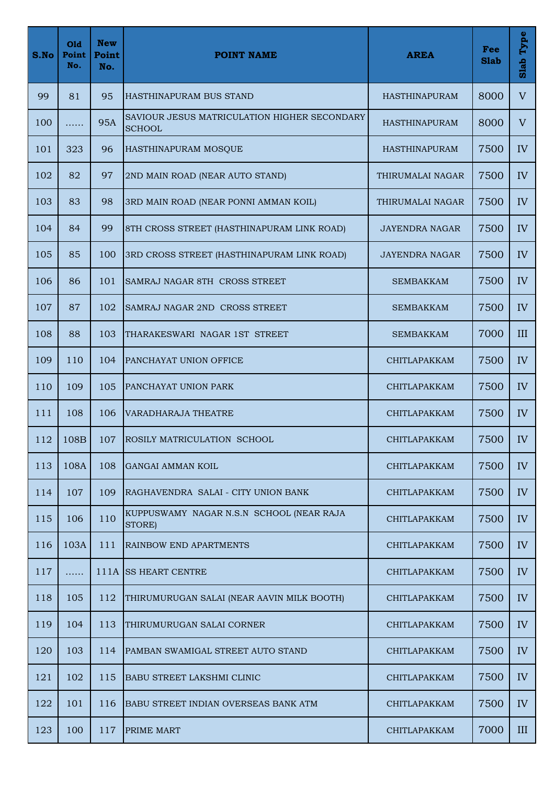| S.No | Old<br>Point<br>No. | <b>New</b><br>Point<br>No. | <b>POINT NAME</b>                                             | <b>AREA</b>           | Fee<br><b>Slab</b> | Type<br>Slab |
|------|---------------------|----------------------------|---------------------------------------------------------------|-----------------------|--------------------|--------------|
| 99   | 81                  | 95                         | HASTHINAPURAM BUS STAND                                       | <b>HASTHINAPURAM</b>  | 8000               | $\mathbf{V}$ |
| 100  | .                   | <b>95A</b>                 | SAVIOUR JESUS MATRICULATION HIGHER SECONDARY<br><b>SCHOOL</b> | <b>HASTHINAPURAM</b>  | 8000               | $\mathbf{V}$ |
| 101  | 323                 | 96                         | HASTHINAPURAM MOSQUE                                          | <b>HASTHINAPURAM</b>  | 7500               | IV           |
| 102  | 82                  | 97                         | 2ND MAIN ROAD (NEAR AUTO STAND)                               | THIRUMALAI NAGAR      | 7500               | IV           |
| 103  | 83                  | 98                         | 3RD MAIN ROAD (NEAR PONNI AMMAN KOIL)                         | THIRUMALAI NAGAR      | 7500               | IV           |
| 104  | 84                  | 99                         | 8TH CROSS STREET (HASTHINAPURAM LINK ROAD)                    | <b>JAYENDRA NAGAR</b> | 7500               | IV           |
| 105  | 85                  | 100                        | 3RD CROSS STREET (HASTHINAPURAM LINK ROAD)                    | <b>JAYENDRA NAGAR</b> | 7500               | IV           |
| 106  | 86                  | 101                        | SAMRAJ NAGAR 8TH CROSS STREET                                 | <b>SEMBAKKAM</b>      | 7500               | IV           |
| 107  | 87                  | 102                        | SAMRAJ NAGAR 2ND CROSS STREET                                 | <b>SEMBAKKAM</b>      | 7500               | IV           |
| 108  | 88                  | 103                        | THARAKESWARI NAGAR 1ST STREET                                 | <b>SEMBAKKAM</b>      | 7000               | III          |
| 109  | 110                 | 104                        | PANCHAYAT UNION OFFICE                                        | CHITLAPAKKAM          | 7500               | IV           |
| 110  | 109                 | 105                        | PANCHAYAT UNION PARK                                          | CHITLAPAKKAM          | 7500               | IV           |
| 111  | 108                 | 106                        | <b>VARADHARAJA THEATRE</b>                                    | CHITLAPAKKAM          | 7500               | IV           |
| 112  | 108B                | 107                        | <b>ROSILY MATRICULATION SCHOOL</b>                            | CHITLAPAKKAM          | 7500               | IV           |
| 113  | 108A                | 108                        | <b>GANGAI AMMAN KOIL</b>                                      | CHITLAPAKKAM          | 7500               | IV           |
| 114  | 107                 | 109                        | RAGHAVENDRA SALAI - CITY UNION BANK                           | CHITLAPAKKAM          | 7500               | IV           |
| 115  | 106                 | 110                        | KUPPUSWAMY NAGAR N.S.N SCHOOL (NEAR RAJA<br>STORE)            | CHITLAPAKKAM          | 7500               | IV           |
| 116  | 103A                | 111                        | <b>RAINBOW END APARTMENTS</b>                                 | <b>CHITLAPAKKAM</b>   | 7500               | IV           |
| 117  | .                   |                            | 111A SS HEART CENTRE                                          | CHITLAPAKKAM          | 7500               | IV           |
| 118  | 105                 | 112                        | THIRUMURUGAN SALAI (NEAR AAVIN MILK BOOTH)                    | CHITLAPAKKAM          | 7500               | IV           |
| 119  | 104                 | 113                        | THIRUMURUGAN SALAI CORNER                                     | CHITLAPAKKAM          | 7500               | IV           |
| 120  | 103                 | 114                        | PAMBAN SWAMIGAL STREET AUTO STAND                             | <b>CHITLAPAKKAM</b>   | 7500               | IV           |
| 121  | 102                 | 115                        | <b>BABU STREET LAKSHMI CLINIC</b>                             | CHITLAPAKKAM          | 7500               | IV           |
| 122  | 101                 | 116                        | BABU STREET INDIAN OVERSEAS BANK ATM                          | CHITLAPAKKAM          | 7500               | IV           |
| 123  | 100                 | 117                        | <b>PRIME MART</b>                                             | CHITLAPAKKAM          | 7000               | III          |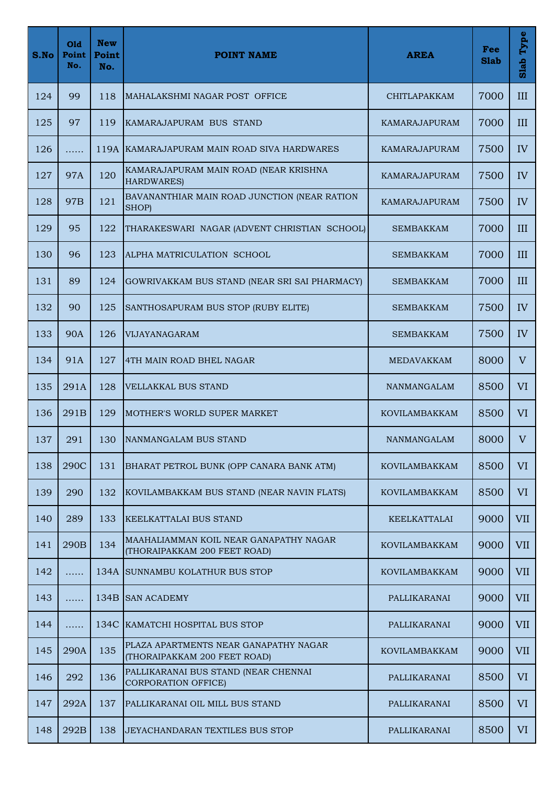| S.No | Old<br>Point<br>No. | <b>New</b><br>Point<br>No. | <b>POINT NAME</b>                                                      | <b>AREA</b>          | Fee<br><b>Slab</b> | Type<br>Slab   |
|------|---------------------|----------------------------|------------------------------------------------------------------------|----------------------|--------------------|----------------|
| 124  | 99                  | 118                        | MAHALAKSHMI NAGAR POST OFFICE                                          | <b>CHITLAPAKKAM</b>  | 7000               | III            |
| 125  | 97                  | 119                        | KAMARAJAPURAM BUS STAND                                                | KAMARAJAPURAM        | 7000               | III            |
| 126  | .                   |                            | 119A KAMARAJAPURAM MAIN ROAD SIVA HARDWARES                            | <b>KAMARAJAPURAM</b> | 7500               | IV             |
| 127  | <b>97A</b>          | 120                        | KAMARAJAPURAM MAIN ROAD (NEAR KRISHNA<br><b>HARDWARES)</b>             | <b>KAMARAJAPURAM</b> | 7500               | IV             |
| 128  | 97 <sub>B</sub>     | 121                        | BAVANANTHIAR MAIN ROAD JUNCTION (NEAR RATION<br>SHOP)                  | <b>KAMARAJAPURAM</b> | 7500               | IV             |
| 129  | 95                  | 122                        | THARAKESWARI NAGAR (ADVENT CHRISTIAN SCHOOL)                           | <b>SEMBAKKAM</b>     | 7000               | III            |
| 130  | 96                  | 123                        | ALPHA MATRICULATION SCHOOL                                             | <b>SEMBAKKAM</b>     | 7000               | III            |
| 131  | 89                  | 124                        | GOWRIVAKKAM BUS STAND (NEAR SRI SAI PHARMACY)                          | SEMBAKKAM            | 7000               | III            |
| 132  | 90                  | 125                        | SANTHOSAPURAM BUS STOP (RUBY ELITE)                                    | <b>SEMBAKKAM</b>     | 7500               | IV             |
| 133  | <b>90A</b>          | 126                        | <b>VIJAYANAGARAM</b>                                                   | <b>SEMBAKKAM</b>     | 7500               | IV             |
| 134  | 91A                 | 127                        | 4TH MAIN ROAD BHEL NAGAR                                               | MEDAVAKKAM           | 8000               | $\mathbf{V}$   |
| 135  | 291A                | 128                        | <b>VELLAKKAL BUS STAND</b>                                             | <b>NANMANGALAM</b>   | 8500               | VI             |
| 136  | 291B                | 129                        | MOTHER'S WORLD SUPER MARKET                                            | <b>KOVILAMBAKKAM</b> | 8500               | <b>VI</b>      |
| 137  | 291                 | 130                        | NANMANGALAM BUS STAND                                                  | NANMANGALAM          | 8000               | $\mathbf V$    |
| 138  | 290C                | 131                        | BHARAT PETROL BUNK (OPP CANARA BANK ATM)                               | <b>KOVILAMBAKKAM</b> | 8500               | VI             |
| 139  | 290                 | 132                        | KOVILAMBAKKAM BUS STAND (NEAR NAVIN FLATS)                             | <b>KOVILAMBAKKAM</b> | 8500               | VI <sup></sup> |
| 140  | 289                 | 133                        | KEELKATTALAI BUS STAND                                                 | KEELKATTALAI         | 9000               | <b>VII</b>     |
| 141  | 290B                | 134                        | MAAHALIAMMAN KOIL NEAR GANAPATHY NAGAR<br>(THORAIPAKKAM 200 FEET ROAD) | <b>KOVILAMBAKKAM</b> | 9000               | <b>VII</b>     |
| 142  | .                   |                            | 134A SUNNAMBU KOLATHUR BUS STOP                                        | <b>KOVILAMBAKKAM</b> | 9000               | <b>VII</b>     |
| 143  | .                   |                            | 134B SAN ACADEMY                                                       | PALLIKARANAI         | 9000               | <b>VII</b>     |
| 144  | .                   |                            | 134C KAMATCHI HOSPITAL BUS STOP                                        | PALLIKARANAI         | 9000               | <b>VII</b>     |
| 145  | 290A                | 135                        | PLAZA APARTMENTS NEAR GANAPATHY NAGAR<br>(THORAIPAKKAM 200 FEET ROAD)  | <b>KOVILAMBAKKAM</b> | 9000               | <b>VII</b>     |
| 146  | 292                 | 136                        | PALLIKARANAI BUS STAND (NEAR CHENNAI<br><b>CORPORATION OFFICE)</b>     | PALLIKARANAI         | 8500               | VI             |
| 147  | 292A                | 137                        | PALLIKARANAI OIL MILL BUS STAND                                        | PALLIKARANAI         | 8500               | VI             |
| 148  | 292B                | 138                        | JEYACHANDARAN TEXTILES BUS STOP                                        | PALLIKARANAI         | 8500               | VI             |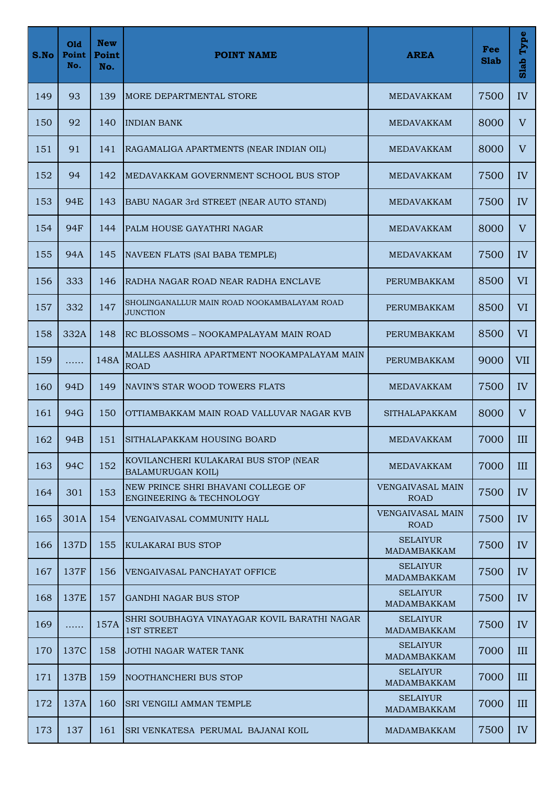| S.No       | Old<br>Point<br>No. | <b>New</b><br>Point<br>No. | <b>POINT NAME</b>                                                         | <b>AREA</b>                            | Fee<br><b>Slab</b> | Type<br>Slab |
|------------|---------------------|----------------------------|---------------------------------------------------------------------------|----------------------------------------|--------------------|--------------|
| 149        | 93                  | 139                        | <b>MORE DEPARTMENTAL STORE</b>                                            | <b>MEDAVAKKAM</b>                      | 7500               | IV           |
| <b>150</b> | 92                  | 140                        | <b>INDIAN BANK</b>                                                        | MEDAVAKKAM                             | 8000               | V            |
| 151        | 91                  | 141                        | RAGAMALIGA APARTMENTS (NEAR INDIAN OIL)                                   | <b>MEDAVAKKAM</b>                      | 8000               | V            |
| 152        | 94                  | 142                        | MEDAVAKKAM GOVERNMENT SCHOOL BUS STOP                                     | <b>MEDAVAKKAM</b>                      | 7500               | IV           |
| 153        | 94E                 | 143                        | BABU NAGAR 3rd STREET (NEAR AUTO STAND)                                   | MEDAVAKKAM                             | 7500               | IV           |
| 154        | <b>94F</b>          | 144                        | PALM HOUSE GAYATHRI NAGAR                                                 | <b>MEDAVAKKAM</b>                      | 8000               | V            |
| 155        | 94A                 | 145                        | NAVEEN FLATS (SAI BABA TEMPLE)                                            | <b>MEDAVAKKAM</b>                      | 7500               | IV           |
| 156        | 333                 | 146                        | RADHA NAGAR ROAD NEAR RADHA ENCLAVE                                       | PERUMBAKKAM                            | 8500               | <b>VI</b>    |
| 157        | 332                 | 147                        | SHOLINGANALLUR MAIN ROAD NOOKAMBALAYAM ROAD<br><b>JUNCTION</b>            | PERUMBAKKAM                            | 8500               | VI           |
| 158        | 332A                | 148                        | RC BLOSSOMS - NOOKAMPALAYAM MAIN ROAD                                     | PERUMBAKKAM                            | 8500               | <b>VI</b>    |
| 159        | .                   | 148A                       | MALLES AASHIRA APARTMENT NOOKAMPALAYAM MAIN<br><b>ROAD</b>                | PERUMBAKKAM                            | 9000               | <b>VII</b>   |
| 160        | 94 <sub>D</sub>     | 149                        | NAVIN'S STAR WOOD TOWERS FLATS                                            | <b>MEDAVAKKAM</b>                      | 7500               | IV           |
| 161        | 94G                 | 150                        | OTTIAMBAKKAM MAIN ROAD VALLUVAR NAGAR KVB                                 | <b>SITHALAPAKKAM</b>                   | 8000               | V            |
| 162        | 94B                 | 151                        | SITHALAPAKKAM HOUSING BOARD                                               | MEDAVAKKAM                             | 7000               | III          |
| 163        | 94C                 | 152                        | KOVILANCHERI KULAKARAI BUS STOP (NEAR<br><b>BALAMURUGAN KOIL)</b>         | MEDAVAKKAM                             | 7000               | III          |
| 164        | 301                 | 153                        | NEW PRINCE SHRI BHAVANI COLLEGE OF<br><b>ENGINEERING &amp; TECHNOLOGY</b> | <b>VENGAIVASAL MAIN</b><br><b>ROAD</b> | 7500               | IV           |
| 165        | 301A                | 154                        | VENGAIVASAL COMMUNITY HALL                                                | <b>VENGAIVASAL MAIN</b><br><b>ROAD</b> | 7500               | IV           |
| 166        | 137D                | 155                        | <b>KULAKARAI BUS STOP</b>                                                 | <b>SELAIYUR</b><br>MADAMBAKKAM         | 7500               | IV           |
| 167        | 137F                | 156                        | VENGAIVASAL PANCHAYAT OFFICE                                              | <b>SELAIYUR</b><br><b>MADAMBAKKAM</b>  | 7500               | IV           |
| 168        | 137E                | 157                        | <b>GANDHI NAGAR BUS STOP</b>                                              | <b>SELAIYUR</b><br><b>MADAMBAKKAM</b>  | 7500               | IV           |
| 169        | .                   | 157A                       | SHRI SOUBHAGYA VINAYAGAR KOVIL BARATHI NAGAR<br><b>1ST STREET</b>         | <b>SELAIYUR</b><br>MADAMBAKKAM         | 7500               | IV           |
| 170        | 137C                | 158                        | JOTHI NAGAR WATER TANK                                                    | <b>SELAIYUR</b><br><b>MADAMBAKKAM</b>  | 7000               | III          |
| 171        | 137B                | 159                        | <b>NOOTHANCHERI BUS STOP</b>                                              | <b>SELAIYUR</b><br><b>MADAMBAKKAM</b>  | 7000               | III          |
| 172        | 137A                | 160                        | <b>SRI VENGILI AMMAN TEMPLE</b>                                           | <b>SELAIYUR</b><br>MADAMBAKKAM         | 7000               | III          |
| 173        | 137                 | 161                        | SRI VENKATESA PERUMAL BAJANAI KOIL                                        | MADAMBAKKAM                            | 7500               | IV           |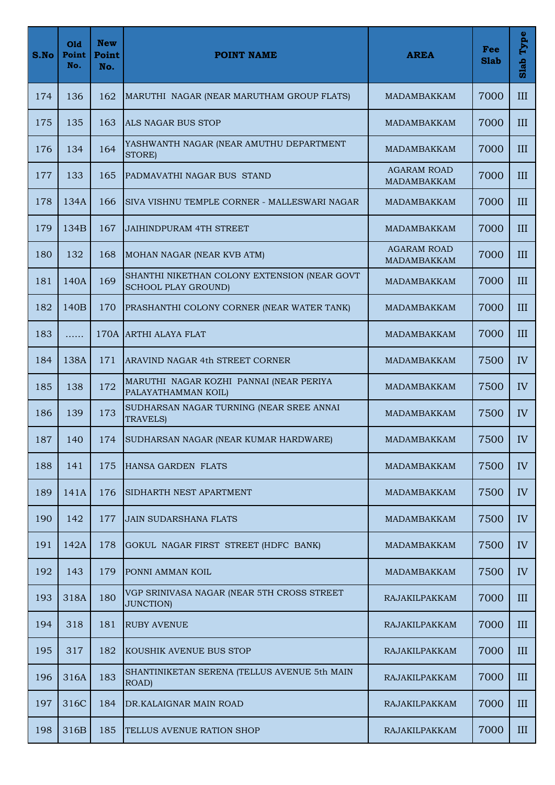| S.No | Old<br>Point<br>No. | <b>New</b><br>Point<br>No. | <b>POINT NAME</b>                                                          | <b>AREA</b>                              | Fee<br><b>Slab</b> | Type<br>Slab |
|------|---------------------|----------------------------|----------------------------------------------------------------------------|------------------------------------------|--------------------|--------------|
| 174  | 136                 | 162                        | MARUTHI NAGAR (NEAR MARUTHAM GROUP FLATS)                                  | <b>MADAMBAKKAM</b>                       | 7000               | III          |
| 175  | 135                 | 163                        | ALS NAGAR BUS STOP                                                         | <b>MADAMBAKKAM</b>                       | 7000               | III          |
| 176  | 134                 | 164                        | YASHWANTH NAGAR (NEAR AMUTHU DEPARTMENT<br>STORE)                          | <b>MADAMBAKKAM</b>                       | 7000               | III          |
| 177  | 133                 | 165                        | PADMAVATHI NAGAR BUS STAND                                                 | <b>AGARAM ROAD</b><br><b>MADAMBAKKAM</b> | 7000               | III          |
| 178  | 134A                | 166                        | SIVA VISHNU TEMPLE CORNER - MALLESWARI NAGAR                               | <b>MADAMBAKKAM</b>                       | 7000               | III          |
| 179  | 134B                | 167                        | <b>JAIHINDPURAM 4TH STREET</b>                                             | MADAMBAKKAM                              | 7000               | III          |
| 180  | 132                 | 168                        | MOHAN NAGAR (NEAR KVB ATM)                                                 | <b>AGARAM ROAD</b><br><b>MADAMBAKKAM</b> | 7000               | III          |
| 181  | 140A                | 169                        | SHANTHI NIKETHAN COLONY EXTENSION (NEAR GOVT<br><b>SCHOOL PLAY GROUND)</b> | <b>MADAMBAKKAM</b>                       | 7000               | III          |
| 182  | 140 <sub>B</sub>    | 170                        | PRASHANTHI COLONY CORNER (NEAR WATER TANK)                                 | <b>MADAMBAKKAM</b>                       | 7000               | III          |
| 183  | .                   |                            | 170A ARTHI ALAYA FLAT                                                      | <b>MADAMBAKKAM</b>                       | 7000               | III          |
| 184  | 138A                | 171                        | ARAVIND NAGAR 4th STREET CORNER                                            | MADAMBAKKAM                              | 7500               | IV           |
| 185  | 138                 | 172                        | MARUTHI NAGAR KOZHI PANNAI (NEAR PERIYA<br>PALAYATHAMMAN KOIL)             | <b>MADAMBAKKAM</b>                       | 7500               | IV           |
| 186  | 139                 | 173                        | SUDHARSAN NAGAR TURNING (NEAR SREE ANNAI<br><b>TRAVELS)</b>                | MADAMBAKKAM                              | 7500               | IV           |
| 187  | 140                 | 174                        | SUDHARSAN NAGAR (NEAR KUMAR HARDWARE)                                      | MADAMBAKKAM                              | 7500               | IV           |
| 188  | 141                 | 175                        | HANSA GARDEN FLATS                                                         | MADAMBAKKAM                              | 7500               | IV           |
| 189  | 141A                | 176                        | SIDHARTH NEST APARTMENT                                                    | <b>MADAMBAKKAM</b>                       | 7500               | IV           |
| 190  | 142                 | 177                        | <b>JAIN SUDARSHANA FLATS</b>                                               | MADAMBAKKAM                              | 7500               | IV           |
| 191  | 142A                | 178                        | GOKUL NAGAR FIRST STREET (HDFC BANK)                                       | MADAMBAKKAM                              | 7500               | IV           |
| 192  | 143                 | 179                        | PONNI AMMAN KOIL                                                           | <b>MADAMBAKKAM</b>                       | 7500               | IV           |
| 193  | 318A                | 180                        | VGP SRINIVASA NAGAR (NEAR 5TH CROSS STREET<br><b>JUNCTION)</b>             | RAJAKILPAKKAM                            | 7000               | III          |
| 194  | 318                 | 181                        | <b>RUBY AVENUE</b>                                                         | RAJAKILPAKKAM                            | 7000               | III          |
| 195  | 317                 | 182                        | KOUSHIK AVENUE BUS STOP                                                    | RAJAKILPAKKAM                            | 7000               | III          |
| 196  | 316A                | 183                        | SHANTINIKETAN SERENA (TELLUS AVENUE 5th MAIN<br>ROAD)                      | RAJAKILPAKKAM                            | 7000               | III          |
| 197  | 316C                | 184                        | DR.KALAIGNAR MAIN ROAD                                                     | RAJAKILPAKKAM                            | 7000               | III          |
| 198  | 316B                | 185                        | TELLUS AVENUE RATION SHOP                                                  | RAJAKILPAKKAM                            | 7000               | III          |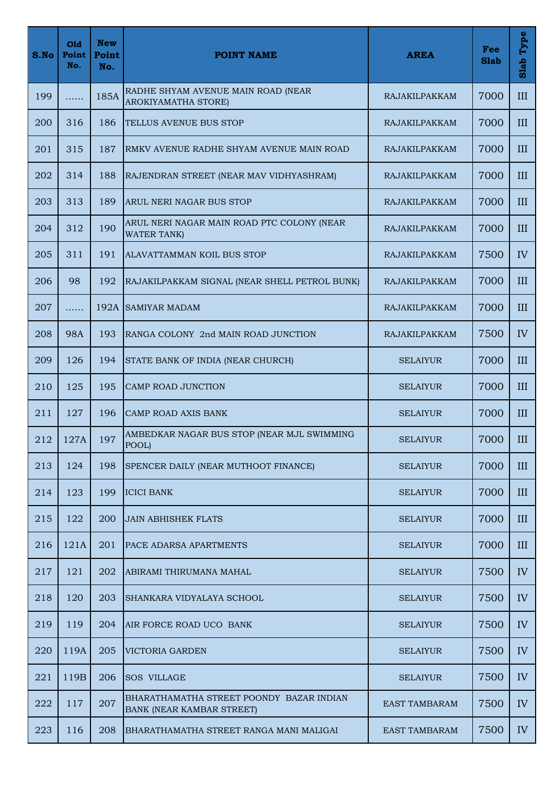| S.No | Old<br>Point<br>No. | <b>New</b><br>Point<br>No. | <b>POINT NAME</b>                                                            | <b>AREA</b>          | Fee<br><b>Slab</b> | Type<br>Slab |
|------|---------------------|----------------------------|------------------------------------------------------------------------------|----------------------|--------------------|--------------|
| 199  | .                   | 185A                       | RADHE SHYAM AVENUE MAIN ROAD (NEAR<br>AROKIYAMATHA STORE)                    | RAJAKILPAKKAM        | 7000               | III          |
| 200  | 316                 | 186                        | TELLUS AVENUE BUS STOP                                                       | RAJAKILPAKKAM        | 7000               | III          |
| 201  | 315                 | 187                        | RMKV AVENUE RADHE SHYAM AVENUE MAIN ROAD                                     | RAJAKILPAKKAM        | 7000               | III          |
| 202  | 314                 | 188                        | RAJENDRAN STREET (NEAR MAV VIDHYASHRAM)                                      | RAJAKILPAKKAM        | 7000               | III          |
| 203  | 313                 | 189                        | ARUL NERI NAGAR BUS STOP                                                     | RAJAKILPAKKAM        | 7000               | III          |
| 204  | 312                 | 190                        | ARUL NERI NAGAR MAIN ROAD PTC COLONY (NEAR<br><b>WATER TANK)</b>             | RAJAKILPAKKAM        | 7000               | III          |
| 205  | 311                 | 191                        | ALAVATTAMMAN KOIL BUS STOP                                                   | RAJAKILPAKKAM        | 7500               | IV           |
| 206  | 98                  | 192                        | RAJAKILPAKKAM SIGNAL (NEAR SHELL PETROL BUNK)                                | RAJAKILPAKKAM        | 7000               | III          |
| 207  | .                   | 192A                       | <b>SAMIYAR MADAM</b>                                                         | RAJAKILPAKKAM        | 7000               | III          |
| 208  | <b>98A</b>          | 193                        | RANGA COLONY 2nd MAIN ROAD JUNCTION                                          | RAJAKILPAKKAM        | 7500               | IV           |
| 209  | 126                 | 194                        | STATE BANK OF INDIA (NEAR CHURCH)                                            | <b>SELAIYUR</b>      | 7000               | III          |
| 210  | 125                 | 195                        | CAMP ROAD JUNCTION                                                           | <b>SELAIYUR</b>      | 7000               | III          |
| 211  | 127                 | 196                        | <b>CAMP ROAD AXIS BANK</b>                                                   | <b>SELAIYUR</b>      | 7000               | III          |
| 212  | 127A                | 197                        | AMBEDKAR NAGAR BUS STOP (NEAR MJL SWIMMING<br>POOL)                          | <b>SELAIYUR</b>      | 7000               | III          |
| 213  | 124                 | 198                        | SPENCER DAILY (NEAR MUTHOOT FINANCE)                                         | <b>SELAIYUR</b>      | 7000               | III          |
| 214  | 123                 | 199                        | <b>ICICI BANK</b>                                                            | <b>SELAIYUR</b>      | 7000               | III          |
| 215  | 122                 | 200                        | <b>JAIN ABHISHEK FLATS</b>                                                   | <b>SELAIYUR</b>      | 7000               | III          |
| 216  | 121A                | 201                        | PACE ADARSA APARTMENTS                                                       | <b>SELAIYUR</b>      | 7000               | III          |
| 217  | 121                 | 202                        | ABIRAMI THIRUMANA MAHAL                                                      | <b>SELAIYUR</b>      | 7500               | IV           |
| 218  | 120                 | 203                        | SHANKARA VIDYALAYA SCHOOL                                                    | <b>SELAIYUR</b>      | 7500               | IV           |
| 219  | 119                 | 204                        | AIR FORCE ROAD UCO BANK                                                      | <b>SELAIYUR</b>      | 7500               | IV           |
| 220  | 119A                | 205                        | VICTORIA GARDEN                                                              | <b>SELAIYUR</b>      | 7500               | IV           |
| 221  | 119B                | 206                        | <b>SOS VILLAGE</b>                                                           | <b>SELAIYUR</b>      | 7500               | IV           |
| 222  | 117                 | 207                        | BHARATHAMATHA STREET POONDY BAZAR INDIAN<br><b>BANK (NEAR KAMBAR STREET)</b> | <b>EAST TAMBARAM</b> | 7500               | IV           |
| 223  | 116                 | 208                        | BHARATHAMATHA STREET RANGA MANI MALIGAI                                      | <b>EAST TAMBARAM</b> | 7500               | IV           |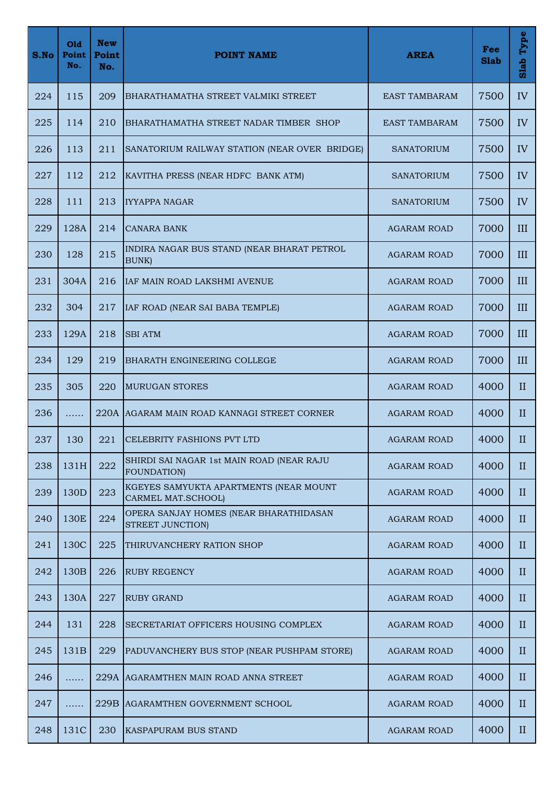| S.No | Old<br>Point<br>No. | <b>New</b><br>Point<br>No. | <b>POINT NAME</b>                                              | <b>AREA</b>          | Fee<br><b>Slab</b> | Type<br>Slab |
|------|---------------------|----------------------------|----------------------------------------------------------------|----------------------|--------------------|--------------|
| 224  | 115                 | 209                        | BHARATHAMATHA STREET VALMIKI STREET                            | <b>EAST TAMBARAM</b> | 7500               | IV           |
| 225  | 114                 | 210                        | BHARATHAMATHA STREET NADAR TIMBER SHOP                         | <b>EAST TAMBARAM</b> | 7500               | IV           |
| 226  | 113                 | 211                        | SANATORIUM RAILWAY STATION (NEAR OVER BRIDGE)                  | <b>SANATORIUM</b>    | 7500               | IV           |
| 227  | 112                 | 212                        | KAVITHA PRESS (NEAR HDFC BANK ATM)                             | <b>SANATORIUM</b>    | 7500               | IV           |
| 228  | 111                 | 213                        | <b>IYYAPPA NAGAR</b>                                           | SANATORIUM           | 7500               | IV           |
| 229  | 128A                | 214                        | <b>CANARA BANK</b>                                             | <b>AGARAM ROAD</b>   | 7000               | III          |
| 230  | 128                 | 215                        | INDIRA NAGAR BUS STAND (NEAR BHARAT PETROL<br><b>BUNK</b> )    | <b>AGARAM ROAD</b>   | 7000               | III          |
| 231  | 304A                | 216                        | IAF MAIN ROAD LAKSHMI AVENUE                                   | <b>AGARAM ROAD</b>   | 7000               | III          |
| 232  | 304                 | 217                        | IAF ROAD (NEAR SAI BABA TEMPLE)                                | <b>AGARAM ROAD</b>   | 7000               | III          |
| 233  | 129A                | 218                        | <b>SBI ATM</b>                                                 | <b>AGARAM ROAD</b>   | 7000               | III          |
| 234  | 129                 | 219                        | <b>BHARATH ENGINEERING COLLEGE</b>                             | <b>AGARAM ROAD</b>   | 7000               | III          |
| 235  | 305                 | 220                        | <b>MURUGAN STORES</b>                                          | <b>AGARAM ROAD</b>   | 4000               | $\mathbf{I}$ |
| 236  | .                   |                            | 220A AGARAM MAIN ROAD KANNAGI STREET CORNER                    | <b>AGARAM ROAD</b>   | 4000               | $\mathbf{I}$ |
| 237  | 130                 | 221                        | <b>CELEBRITY FASHIONS PVT LTD</b>                              | AGARAM ROAD          | 4000               | $\mathbf{I}$ |
| 238  | 131H                | 222                        | SHIRDI SAI NAGAR 1st MAIN ROAD (NEAR RAJU<br><b>FOUNDATION</b> | <b>AGARAM ROAD</b>   | 4000               | $\mathbf{I}$ |
| 239  | 130D                | 223                        | KGEYES SAMYUKTA APARTMENTS (NEAR MOUNT<br>CARMEL MAT.SCHOOL)   | <b>AGARAM ROAD</b>   | 4000               | $\mathbf{I}$ |
| 240  | 130E                | 224                        | OPERA SANJAY HOMES (NEAR BHARATHIDASAN<br>STREET JUNCTION)     | <b>AGARAM ROAD</b>   | 4000               | $\mathbf{I}$ |
| 241  | 130C                | 225                        | THIRUVANCHERY RATION SHOP                                      | <b>AGARAM ROAD</b>   | 4000               | $\mathbf{I}$ |
| 242  | 130 <sub>B</sub>    | 226                        | <b>RUBY REGENCY</b>                                            | <b>AGARAM ROAD</b>   | 4000               | $\rm II$     |
| 243  | 130A                | 227                        | <b>RUBY GRAND</b>                                              | <b>AGARAM ROAD</b>   | 4000               | $\mathbf{I}$ |
| 244  | 131                 | 228                        | SECRETARIAT OFFICERS HOUSING COMPLEX                           | AGARAM ROAD          | 4000               | $\mathbf{I}$ |
| 245  | 131B                | 229                        | PADUVANCHERY BUS STOP (NEAR PUSHPAM STORE)                     | <b>AGARAM ROAD</b>   | 4000               | $\mathbf{I}$ |
| 246  | .                   |                            | 229A AGARAMTHEN MAIN ROAD ANNA STREET                          | <b>AGARAM ROAD</b>   | 4000               | $\mathbf{I}$ |
| 247  | .                   |                            | 229B AGARAMTHEN GOVERNMENT SCHOOL                              | <b>AGARAM ROAD</b>   | 4000               | $\mathbf{I}$ |
| 248  | 131C                | 230                        | <b>KASPAPURAM BUS STAND</b>                                    | <b>AGARAM ROAD</b>   | 4000               | $\mathbf{I}$ |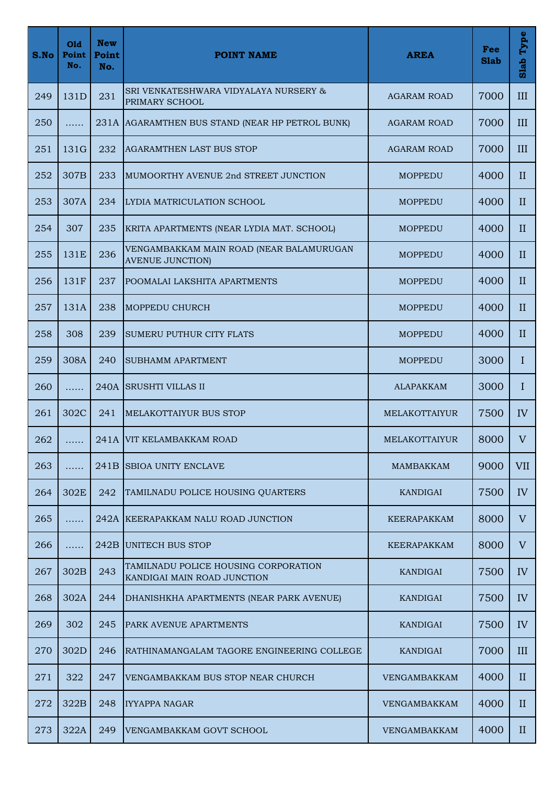| S.No | Old<br>Point<br>No. | <b>New</b><br>Point<br>No. | <b>POINT NAME</b>                                                   | <b>AREA</b>        | Fee<br><b>Slab</b> | Type<br>Slab |
|------|---------------------|----------------------------|---------------------------------------------------------------------|--------------------|--------------------|--------------|
| 249  | 131D                | 231                        | SRI VENKATESHWARA VIDYALAYA NURSERY &<br>PRIMARY SCHOOL             | <b>AGARAM ROAD</b> | 7000               | III          |
| 250  | .                   |                            | 231A AGARAMTHEN BUS STAND (NEAR HP PETROL BUNK)                     | <b>AGARAM ROAD</b> | 7000               | III          |
| 251  | 131G                | 232                        | <b>AGARAMTHEN LAST BUS STOP</b>                                     | <b>AGARAM ROAD</b> | 7000               | III          |
| 252  | 307B                | 233                        | MUMOORTHY AVENUE 2nd STREET JUNCTION                                | <b>MOPPEDU</b>     | 4000               | $\mathbf{I}$ |
| 253  | 307A                | 234                        | LYDIA MATRICULATION SCHOOL                                          | <b>MOPPEDU</b>     | 4000               | $\mathbf{I}$ |
| 254  | 307                 | 235                        | KRITA APARTMENTS (NEAR LYDIA MAT. SCHOOL)                           | <b>MOPPEDU</b>     | 4000               | $\mathbf{I}$ |
| 255  | 131E                | 236                        | VENGAMBAKKAM MAIN ROAD (NEAR BALAMURUGAN<br><b>AVENUE JUNCTION)</b> | <b>MOPPEDU</b>     | 4000               | II           |
| 256  | <b>131F</b>         | 237                        | POOMALAI LAKSHITA APARTMENTS                                        | <b>MOPPEDU</b>     | 4000               | $\mathbf{I}$ |
| 257  | 131A                | 238                        | <b>MOPPEDU CHURCH</b>                                               | <b>MOPPEDU</b>     | 4000               | $\mathbf{I}$ |
| 258  | 308                 | 239                        | SUMERU PUTHUR CITY FLATS                                            | <b>MOPPEDU</b>     | 4000               | $\mathbf{I}$ |
| 259  | 308A                | 240                        | <b>SUBHAMM APARTMENT</b>                                            | <b>MOPPEDU</b>     | 3000               | $\mathbf I$  |
| 260  | .                   |                            | 240A SRUSHTI VILLAS II                                              | <b>ALAPAKKAM</b>   | 3000               | I            |
| 261  | 302C                | 241                        | <b>MELAKOTTAIYUR BUS STOP</b>                                       | MELAKOTTAIYUR      | 7500               | IV           |
| 262  | .                   |                            | 241A VIT KELAMBAKKAM ROAD                                           | MELAKOTTAIYUR      | 8000               | V            |
| 263  | .                   |                            | 241B SBIOA UNITY ENCLAVE                                            | <b>MAMBAKKAM</b>   | 9000               | <b>VII</b>   |
| 264  | 302E                | 242                        | TAMILNADU POLICE HOUSING QUARTERS                                   | <b>KANDIGAI</b>    | 7500               | IV           |
| 265  | .                   |                            | 242A KEERAPAKKAM NALU ROAD JUNCTION                                 | KEERAPAKKAM        | 8000               | V            |
| 266  | .                   |                            | 242B UNITECH BUS STOP                                               | KEERAPAKKAM        | 8000               | V            |
| 267  | 302B                | 243                        | TAMILNADU POLICE HOUSING CORPORATION<br>KANDIGAI MAIN ROAD JUNCTION | KANDIGAI           | 7500               | IV           |
| 268  | 302A                | 244                        | DHANISHKHA APARTMENTS (NEAR PARK AVENUE)                            | <b>KANDIGAI</b>    | 7500               | IV           |
| 269  | 302                 | 245                        | <b>PARK AVENUE APARTMENTS</b>                                       | KANDIGAI           | 7500               | IV           |
| 270  | 302D                | 246                        | RATHINAMANGALAM TAGORE ENGINEERING COLLEGE                          | <b>KANDIGAI</b>    | 7000               | III          |
| 271  | 322                 | 247                        | VENGAMBAKKAM BUS STOP NEAR CHURCH                                   | VENGAMBAKKAM       | 4000               | $\mathbf{I}$ |
| 272  | 322B                | 248                        | <b>IYYAPPA NAGAR</b>                                                | VENGAMBAKKAM       | 4000               | $\mathbf{I}$ |
| 273  | 322A                | 249                        | VENGAMBAKKAM GOVT SCHOOL                                            | VENGAMBAKKAM       | 4000               | $\mathbf{I}$ |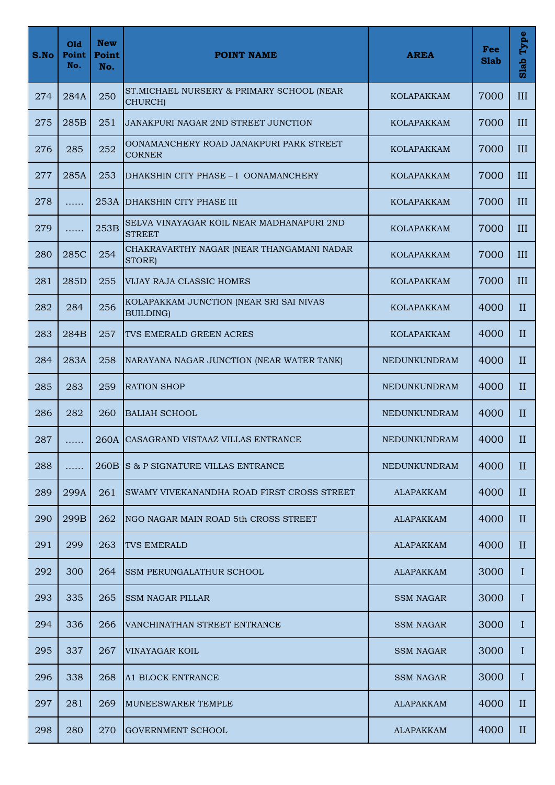| S.No | Old<br>Point<br>No. | <b>New</b><br>Point<br>No. | <b>POINT NAME</b>                                            | <b>AREA</b>       | Fee<br><b>Slab</b> | Type<br>Slab |
|------|---------------------|----------------------------|--------------------------------------------------------------|-------------------|--------------------|--------------|
| 274  | 284A                | 250                        | ST. MICHAEL NURSERY & PRIMARY SCHOOL (NEAR<br>CHURCH)        | <b>KOLAPAKKAM</b> | 7000               | III          |
| 275  | 285B                | 251                        | <b>JANAKPURI NAGAR 2ND STREET JUNCTION</b>                   | <b>KOLAPAKKAM</b> | 7000               | III          |
| 276  | 285                 | 252                        | OONAMANCHERY ROAD JANAKPURI PARK STREET<br><b>CORNER</b>     | <b>KOLAPAKKAM</b> | 7000               | III          |
| 277  | 285A                | 253                        | DHAKSHIN CITY PHASE - I OONAMANCHERY                         | <b>KOLAPAKKAM</b> | 7000               | III          |
| 278  | .                   |                            | 253A DHAKSHIN CITY PHASE III                                 | <b>KOLAPAKKAM</b> | 7000               | III          |
| 279  | .                   | 253B                       | SELVA VINAYAGAR KOIL NEAR MADHANAPURI 2ND<br><b>STREET</b>   | <b>KOLAPAKKAM</b> | 7000               | III          |
| 280  | 285C                | 254                        | CHAKRAVARTHY NAGAR (NEAR THANGAMANI NADAR<br>STORE)          | <b>KOLAPAKKAM</b> | 7000               | III          |
| 281  | 285D                | 255                        | <b>VIJAY RAJA CLASSIC HOMES</b>                              | <b>KOLAPAKKAM</b> | 7000               | III          |
| 282  | 284                 | 256                        | KOLAPAKKAM JUNCTION (NEAR SRI SAI NIVAS<br><b>BUILDING</b> ) | <b>KOLAPAKKAM</b> | 4000               | $\mathbf{I}$ |
| 283  | 284B                | 257                        | TVS EMERALD GREEN ACRES                                      | <b>KOLAPAKKAM</b> | 4000               | $\mathbf{I}$ |
| 284  | 283A                | 258                        | NARAYANA NAGAR JUNCTION (NEAR WATER TANK)                    | NEDUNKUNDRAM      | 4000               | $\mathbf{I}$ |
| 285  | 283                 | 259                        | <b>RATION SHOP</b>                                           | NEDUNKUNDRAM      | 4000               | $\mathbf{I}$ |
| 286  | 282                 | 260                        | <b>BALIAH SCHOOL</b>                                         | NEDUNKUNDRAM      | 4000               | $\mathbf{I}$ |
| 287  | .                   |                            | 260A CASAGRAND VISTAAZ VILLAS ENTRANCE                       | NEDUNKUNDRAM      | 4000               | $\mathbf{I}$ |
| 288  | .                   |                            | 260B IS & P SIGNATURE VILLAS ENTRANCE                        | NEDUNKUNDRAM      | 4000               | $\rm II$     |
| 289  | 299A                | 261                        | SWAMY VIVEKANANDHA ROAD FIRST CROSS STREET                   | <b>ALAPAKKAM</b>  | 4000               | $\mathbf{I}$ |
| 290  | 299B                | 262                        | NGO NAGAR MAIN ROAD 5th CROSS STREET                         | <b>ALAPAKKAM</b>  | 4000               | $\rm II$     |
| 291  | 299                 | 263                        | <b>TVS EMERALD</b>                                           | ALAPAKKAM         | 4000               | $\mathbf{I}$ |
| 292  | 300                 | 264                        | <b>SSM PERUNGALATHUR SCHOOL</b>                              | <b>ALAPAKKAM</b>  | 3000               | Ι            |
| 293  | 335                 | 265                        | <b>SSM NAGAR PILLAR</b>                                      | <b>SSM NAGAR</b>  | 3000               | L            |
| 294  | 336                 | 266                        | VANCHINATHAN STREET ENTRANCE                                 | SSM NAGAR         | 3000               | Ι            |
| 295  | 337                 | 267                        | VINAYAGAR KOIL                                               | <b>SSM NAGAR</b>  | 3000               | Ι            |
| 296  | 338                 | 268                        | A1 BLOCK ENTRANCE                                            | <b>SSM NAGAR</b>  | 3000               | Ι            |
| 297  | 281                 | 269                        | MUNEESWARER TEMPLE                                           | ALAPAKKAM         | 4000               | $\mathbf{I}$ |
| 298  | 280                 | 270                        | <b>GOVERNMENT SCHOOL</b>                                     | <b>ALAPAKKAM</b>  | 4000               | $\mathbf{I}$ |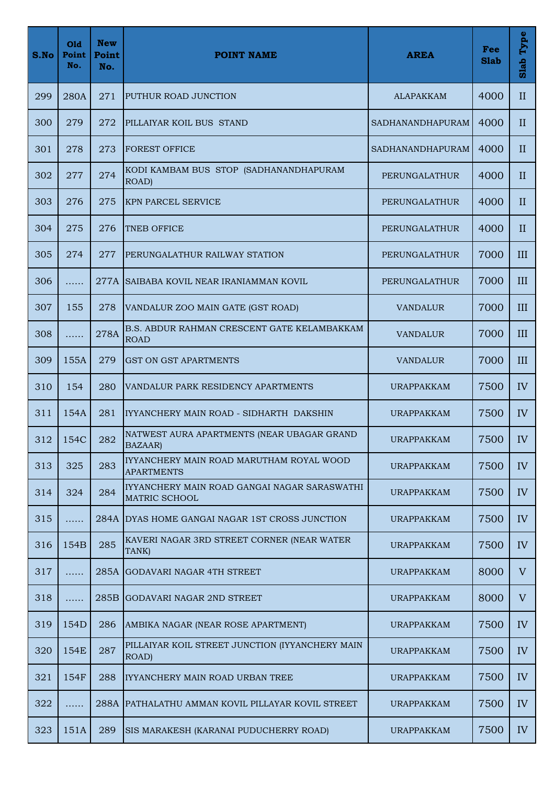| S.No | Old<br>Point<br>No. | <b>New</b><br>Point<br>No. | <b>POINT NAME</b>                                                    | <b>AREA</b>             | Fee<br><b>Slab</b> | Type<br>Slab |
|------|---------------------|----------------------------|----------------------------------------------------------------------|-------------------------|--------------------|--------------|
| 299  | 280A                | 271                        | PUTHUR ROAD JUNCTION                                                 | <b>ALAPAKKAM</b>        | 4000               | $\mathbf{I}$ |
| 300  | 279                 | 272                        | PILLAIYAR KOIL BUS STAND                                             | SADHANANDHAPURAM        | 4000               | $\mathbf{I}$ |
| 301  | 278                 | 273                        | <b>FOREST OFFICE</b>                                                 | <b>SADHANANDHAPURAM</b> | 4000               | $\mathbf{I}$ |
| 302  | 277                 | 274                        | KODI KAMBAM BUS STOP (SADHANANDHAPURAM<br>ROAD)                      | PERUNGALATHUR           | 4000               | $\mathbf{I}$ |
| 303  | 276                 | 275                        | <b>KPN PARCEL SERVICE</b>                                            | PERUNGALATHUR           | 4000               | $\mathbf{I}$ |
| 304  | 275                 | 276                        | <b>TNEB OFFICE</b>                                                   | PERUNGALATHUR           | 4000               | $\mathbf{I}$ |
| 305  | 274                 | 277                        | PERUNGALATHUR RAILWAY STATION                                        | <b>PERUNGALATHUR</b>    | 7000               | III          |
| 306  | .                   |                            | 277A SAIBABA KOVIL NEAR IRANIAMMAN KOVIL                             | PERUNGALATHUR           | 7000               | III          |
| 307  | 155                 | 278                        | VANDALUR ZOO MAIN GATE (GST ROAD)                                    | <b>VANDALUR</b>         | 7000               | III          |
| 308  | .                   | 278A                       | B.S. ABDUR RAHMAN CRESCENT GATE KELAMBAKKAM<br><b>ROAD</b>           | <b>VANDALUR</b>         | 7000               | III          |
| 309  | 155A                | 279                        | <b>GST ON GST APARTMENTS</b>                                         | <b>VANDALUR</b>         | 7000               | III          |
| 310  | 154                 | 280                        | VANDALUR PARK RESIDENCY APARTMENTS                                   | <b>URAPPAKKAM</b>       | 7500               | IV           |
| 311  | 154A                | 281                        | IYYANCHERY MAIN ROAD - SIDHARTH DAKSHIN                              | <b>URAPPAKKAM</b>       | 7500               | IV           |
| 312  | 154C                | 282                        | NATWEST AURA APARTMENTS (NEAR UBAGAR GRAND<br><b>BAZAAR</b> )        | <b>URAPPAKKAM</b>       | 7500               | IV           |
| 313  | 325                 | 283                        | IYYANCHERY MAIN ROAD MARUTHAM ROYAL WOOD<br><b>APARTMENTS</b>        | URAPPAKKAM              | 7500               | IV           |
| 314  | 324                 | 284                        | IYYANCHERY MAIN ROAD GANGAI NAGAR SARASWATHI<br><b>MATRIC SCHOOL</b> | <b>URAPPAKKAM</b>       | 7500               | IV           |
| 315  | .                   |                            | 284A DYAS HOME GANGAI NAGAR 1ST CROSS JUNCTION                       | URAPPAKKAM              | 7500               | IV           |
| 316  | 154B                | 285                        | KAVERI NAGAR 3RD STREET CORNER (NEAR WATER<br>TANK)                  | <b>URAPPAKKAM</b>       | 7500               | IV           |
| 317  | .                   | 285A                       | <b>GODAVARI NAGAR 4TH STREET</b>                                     | <b>URAPPAKKAM</b>       | 8000               | V            |
| 318  | .                   |                            | 285B GODAVARI NAGAR 2ND STREET                                       | <b>URAPPAKKAM</b>       | 8000               | V            |
| 319  | 154D                | 286                        | AMBIKA NAGAR (NEAR ROSE APARTMENT)                                   | <b>URAPPAKKAM</b>       | 7500               | IV           |
| 320  | 154E                | 287                        | PILLAIYAR KOIL STREET JUNCTION (IYYANCHERY MAIN<br>ROAD)             | <b>URAPPAKKAM</b>       | 7500               | IV           |
| 321  | 154F                | 288                        | IYYANCHERY MAIN ROAD URBAN TREE                                      | URAPPAKKAM              | 7500               | IV           |
| 322  | .                   |                            | 288A PATHALATHU AMMAN KOVIL PILLAYAR KOVIL STREET                    | <b>URAPPAKKAM</b>       | 7500               | IV           |
| 323  | 151A                | 289                        | SIS MARAKESH (KARANAI PUDUCHERRY ROAD)                               | <b>URAPPAKKAM</b>       | 7500               | IV           |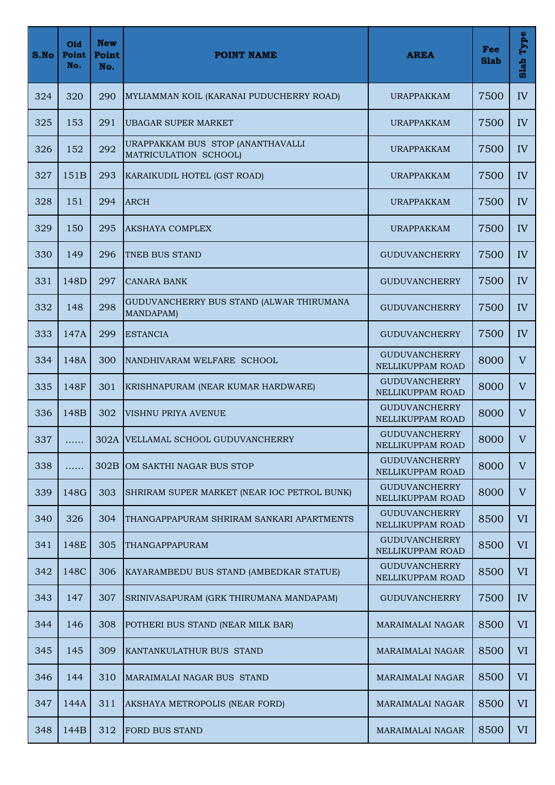| S.No | Old<br>Point<br>No. | <b>New</b><br>Point<br>No. | <b>POINT NAME</b>                                          | <b>AREA</b>                              | Fee<br><b>Slab</b> | Type<br>Slab |
|------|---------------------|----------------------------|------------------------------------------------------------|------------------------------------------|--------------------|--------------|
| 324  | 320                 | 290                        | MYLIAMMAN KOIL (KARANAI PUDUCHERRY ROAD)                   | URAPPAKKAM                               | 7500               | IV           |
| 325  | 153                 | 291                        | <b>UBAGAR SUPER MARKET</b>                                 | <b>URAPPAKKAM</b>                        | 7500               | IV           |
| 326  | 152                 | 292                        | URAPPAKKAM BUS STOP (ANANTHAVALLI<br>MATRICULATION SCHOOL) | <b>URAPPAKKAM</b>                        | 7500               | IV           |
| 327  | 151B                | 293                        | KARAIKUDIL HOTEL (GST ROAD)                                | <b>URAPPAKKAM</b>                        | 7500               | IV           |
| 328  | 151                 | 294                        | <b>ARCH</b>                                                | <b>URAPPAKKAM</b>                        | 7500               | IV           |
| 329  | 150                 | 295                        | <b>AKSHAYA COMPLEX</b>                                     | <b>URAPPAKKAM</b>                        | 7500               | IV           |
| 330  | 149                 | 296                        | <b>TNEB BUS STAND</b>                                      | <b>GUDUVANCHERRY</b>                     | 7500               | IV           |
| 331  | 148D                | 297                        | <b>CANARA BANK</b>                                         | <b>GUDUVANCHERRY</b>                     | 7500               | IV           |
| 332  | 148                 | 298                        | GUDUVANCHERRY BUS STAND (ALWAR THIRUMANA<br>MANDAPAM)      | <b>GUDUVANCHERRY</b>                     | 7500               | IV           |
| 333  | 147A                | 299                        | <b>ESTANCIA</b>                                            | <b>GUDUVANCHERRY</b>                     | 7500               | IV           |
| 334  | 148A                | 300                        | NANDHIVARAM WELFARE SCHOOL                                 | <b>GUDUVANCHERRY</b><br>NELLIKUPPAM ROAD | 8000               | V            |
| 335  | 148F                | 301                        | KRISHNAPURAM (NEAR KUMAR HARDWARE)                         | <b>GUDUVANCHERRY</b><br>NELLIKUPPAM ROAD | 8000               | V            |
| 336  | 148B                | 302                        | VISHNU PRIYA AVENUE                                        | <b>GUDUVANCHERRY</b><br>NELLIKUPPAM ROAD | 8000               | $\mathbf{V}$ |
| 337  | .                   |                            | 302A VELLAMAL SCHOOL GUDUVANCHERRY                         | <b>GUDUVANCHERRY</b><br>NELLIKUPPAM ROAD | 8000               | $\mathbf V$  |
| 338  | .                   | 302B                       | OM SAKTHI NAGAR BUS STOP                                   | <b>GUDUVANCHERRY</b><br>NELLIKUPPAM ROAD | 8000               | V            |
| 339  | 148G                | 303                        | SHRIRAM SUPER MARKET (NEAR IOC PETROL BUNK)                | <b>GUDUVANCHERRY</b><br>NELLIKUPPAM ROAD | 8000               | V            |
| 340  | 326                 | 304                        | THANGAPPAPURAM SHRIRAM SANKARI APARTMENTS                  | <b>GUDUVANCHERRY</b><br>NELLIKUPPAM ROAD | 8500               | <b>VI</b>    |
| 341  | 148E                | 305                        | THANGAPPAPURAM                                             | <b>GUDUVANCHERRY</b><br>NELLIKUPPAM ROAD | 8500               | VI           |
| 342  | 148C                | 306                        | KAYARAMBEDU BUS STAND (AMBEDKAR STATUE)                    | <b>GUDUVANCHERRY</b><br>NELLIKUPPAM ROAD | 8500               | <b>VI</b>    |
| 343  | 147                 | 307                        | SRINIVASAPURAM (GRK THIRUMANA MANDAPAM)                    | <b>GUDUVANCHERRY</b>                     | 7500               | IV           |
| 344  | 146                 | 308                        | POTHERI BUS STAND (NEAR MILK BAR)                          | <b>MARAIMALAI NAGAR</b>                  | 8500               | <b>VI</b>    |
| 345  | 145                 | 309                        | KANTANKULATHUR BUS STAND                                   | MARAIMALAI NAGAR                         | 8500               | <b>VI</b>    |
| 346  | 144                 | 310                        | MARAIMALAI NAGAR BUS STAND                                 | MARAIMALAI NAGAR                         | 8500               | <b>VI</b>    |
| 347  | 144A                | 311                        | AKSHAYA METROPOLIS (NEAR FORD)                             | <b>MARAIMALAI NAGAR</b>                  | 8500               | <b>VI</b>    |
| 348  | 144B                | 312                        | FORD BUS STAND                                             | MARAIMALAI NAGAR                         | 8500               | VI           |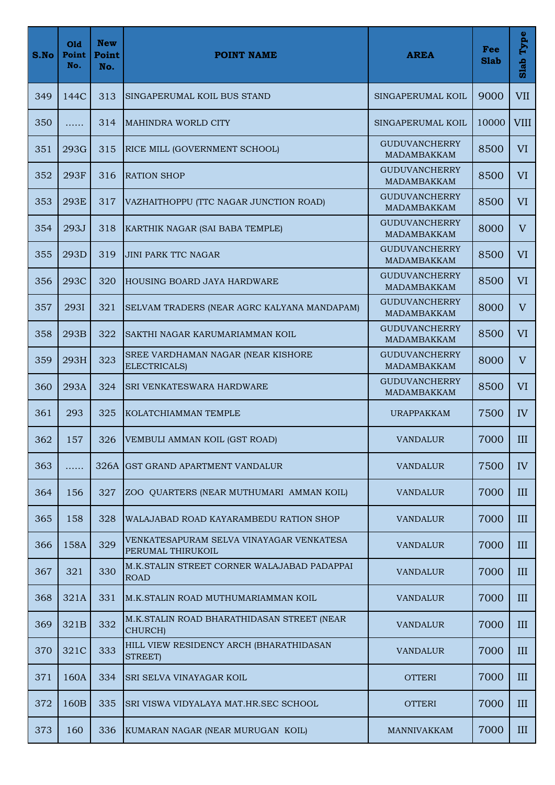| S.No | Old<br>Point<br>No. | <b>New</b><br>Point<br>No. | <b>POINT NAME</b>                                             | <b>AREA</b>                                | Fee<br><b>Slab</b> | Type<br>Slab   |
|------|---------------------|----------------------------|---------------------------------------------------------------|--------------------------------------------|--------------------|----------------|
| 349  | 144C                | 313                        | SINGAPERUMAL KOIL BUS STAND                                   | SINGAPERUMAL KOIL                          | 9000               | <b>VII</b>     |
| 350  | .                   | 314                        | <b>MAHINDRA WORLD CITY</b>                                    | SINGAPERUMAL KOIL                          | 10000              | <b>VIII</b>    |
| 351  | 293G                | 315                        | RICE MILL (GOVERNMENT SCHOOL)                                 | <b>GUDUVANCHERRY</b><br>MADAMBAKKAM        | 8500               | VI             |
| 352  | 293F                | 316                        | <b>RATION SHOP</b>                                            | <b>GUDUVANCHERRY</b><br>MADAMBAKKAM        | 8500               | VI             |
| 353  | 293E                | 317                        | VAZHAITHOPPU (TTC NAGAR JUNCTION ROAD)                        | <b>GUDUVANCHERRY</b><br>MADAMBAKKAM        | 8500               | VI             |
| 354  | 293J                | 318                        | KARTHIK NAGAR (SAI BABA TEMPLE)                               | <b>GUDUVANCHERRY</b><br><b>MADAMBAKKAM</b> | 8000               | V              |
| 355  | 293D                | 319                        | <b>JINI PARK TTC NAGAR</b>                                    | <b>GUDUVANCHERRY</b><br>MADAMBAKKAM        | 8500               | VI             |
| 356  | 293C                | 320                        | <b>HOUSING BOARD JAYA HARDWARE</b>                            | <b>GUDUVANCHERRY</b><br><b>MADAMBAKKAM</b> | 8500               | VI             |
| 357  | 293I                | 321                        | SELVAM TRADERS (NEAR AGRC KALYANA MANDAPAM)                   | <b>GUDUVANCHERRY</b><br>MADAMBAKKAM        | 8000               | V              |
| 358  | 293B                | 322                        | SAKTHI NAGAR KARUMARIAMMAN KOIL                               | <b>GUDUVANCHERRY</b><br>MADAMBAKKAM        | 8500               | VI             |
| 359  | 293H                | 323                        | SREE VARDHAMAN NAGAR (NEAR KISHORE<br>ELECTRICALS)            | <b>GUDUVANCHERRY</b><br>MADAMBAKKAM        | 8000               | $\overline{V}$ |
| 360  | 293A                | 324                        | <b>SRI VENKATESWARA HARDWARE</b>                              | <b>GUDUVANCHERRY</b><br>MADAMBAKKAM        | 8500               | VI             |
| 361  | 293                 | 325                        | KOLATCHIAMMAN TEMPLE                                          | <b>URAPPAKKAM</b>                          | 7500               | IV             |
| 362  | 157                 | 326                        | VEMBULI AMMAN KOIL (GST ROAD)                                 | VANDALUR                                   | 7000               | III            |
| 363  | .                   |                            | 326A GST GRAND APARTMENT VANDALUR                             | <b>VANDALUR</b>                            | 7500               | IV             |
| 364  | 156                 | 327                        | ZOO QUARTERS (NEAR MUTHUMARI AMMAN KOIL)                      | <b>VANDALUR</b>                            | 7000               | III            |
| 365  | 158                 | 328                        | WALAJABAD ROAD KAYARAMBEDU RATION SHOP                        | <b>VANDALUR</b>                            | 7000               | III            |
| 366  | 158A                | 329                        | VENKATESAPURAM SELVA VINAYAGAR VENKATESA<br>PERUMAL THIRUKOIL | <b>VANDALUR</b>                            | 7000               | III            |
| 367  | 321                 | 330                        | M.K.STALIN STREET CORNER WALAJABAD PADAPPAI<br><b>ROAD</b>    | <b>VANDALUR</b>                            | 7000               | III            |
| 368  | 321A                | 331                        | M.K.STALIN ROAD MUTHUMARIAMMAN KOIL                           | <b>VANDALUR</b>                            | 7000               | III            |
| 369  | 321B                | 332                        | M.K.STALIN ROAD BHARATHIDASAN STREET (NEAR<br>CHURCH)         | <b>VANDALUR</b>                            | 7000               | III            |
| 370  | 321C                | 333                        | HILL VIEW RESIDENCY ARCH (BHARATHIDASAN<br>STREET)            | <b>VANDALUR</b>                            | 7000               | III            |
| 371  | 160A                | 334                        | <b>SRI SELVA VINAYAGAR KOIL</b>                               | <b>OTTERI</b>                              | 7000               | III            |
| 372  | 160 <sub>B</sub>    | 335                        | SRI VISWA VIDYALAYA MAT.HR.SEC SCHOOL                         | <b>OTTERI</b>                              | 7000               | III            |
| 373  | 160                 | 336                        | KUMARAN NAGAR (NEAR MURUGAN KOIL)                             | <b>MANNIVAKKAM</b>                         | 7000               | III            |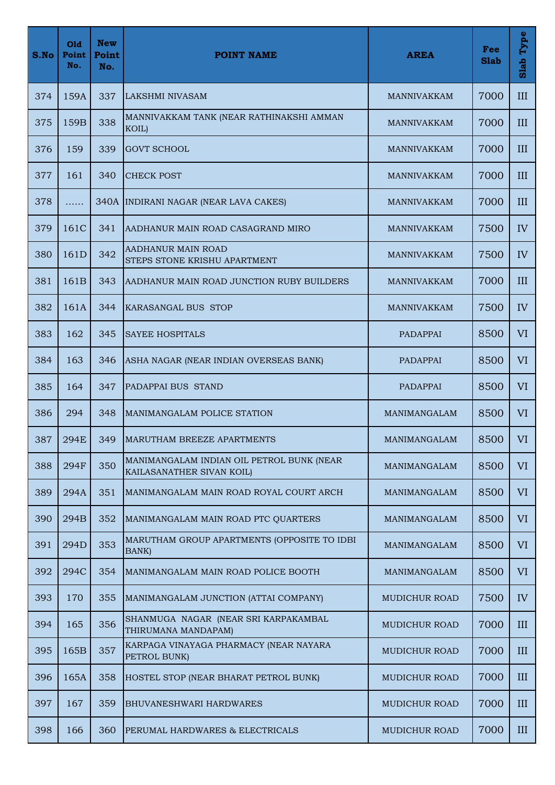| S.No | Old<br>Point<br>No. | <b>New</b><br>Point<br>No. | <b>POINT NAME</b>                                                      | <b>AREA</b>          | Fee<br><b>Slab</b> | Type<br>Slab |
|------|---------------------|----------------------------|------------------------------------------------------------------------|----------------------|--------------------|--------------|
| 374  | 159A                | 337                        | LAKSHMI NIVASAM                                                        | <b>MANNIVAKKAM</b>   | 7000               | III          |
| 375  | 159B                | 338                        | MANNIVAKKAM TANK (NEAR RATHINAKSHI AMMAN<br>KOIL)                      | <b>MANNIVAKKAM</b>   | 7000               | III          |
| 376  | 159                 | 339                        | <b>GOVT SCHOOL</b>                                                     | <b>MANNIVAKKAM</b>   | 7000               | III          |
| 377  | 161                 | 340                        | <b>CHECK POST</b>                                                      | <b>MANNIVAKKAM</b>   | 7000               | III          |
| 378  | .                   |                            | 340A INDIRANI NAGAR (NEAR LAVA CAKES)                                  | <b>MANNIVAKKAM</b>   | 7000               | III          |
| 379  | 161C                | 341                        | AADHANUR MAIN ROAD CASAGRAND MIRO                                      | <b>MANNIVAKKAM</b>   | 7500               | IV           |
| 380  | 161 <sub>D</sub>    | 342                        | AADHANUR MAIN ROAD<br>STEPS STONE KRISHU APARTMENT                     | <b>MANNIVAKKAM</b>   | 7500               | IV           |
| 381  | 161B                | 343                        | AADHANUR MAIN ROAD JUNCTION RUBY BUILDERS                              | MANNIVAKKAM          | 7000               | III          |
| 382  | 161A                | 344                        | KARASANGAL BUS STOP                                                    | <b>MANNIVAKKAM</b>   | 7500               | IV           |
| 383  | 162                 | 345                        | <b>SAYEE HOSPITALS</b>                                                 | PADAPPAI             | 8500               | <b>VI</b>    |
| 384  | 163                 | 346                        | ASHA NAGAR (NEAR INDIAN OVERSEAS BANK)                                 | PADAPPAI             | 8500               | <b>VI</b>    |
| 385  | 164                 | 347                        | PADAPPAI BUS STAND                                                     | PADAPPAI             | 8500               | <b>VI</b>    |
| 386  | 294                 | 348                        | MANIMANGALAM POLICE STATION                                            | MANIMANGALAM         | 8500               | <b>VI</b>    |
| 387  | 294E                | 349                        | <b>MARUTHAM BREEZE APARTMENTS</b>                                      | MANIMANGALAM         | 8500               | VI           |
| 388  | 294F                | 350                        | MANIMANGALAM INDIAN OIL PETROL BUNK (NEAR<br>KAILASANATHER SIVAN KOIL) | MANIMANGALAM         | 8500               | VI           |
| 389  | 294A                | 351                        | MANIMANGALAM MAIN ROAD ROYAL COURT ARCH                                | MANIMANGALAM         | 8500               | VI           |
| 390  | 294B                | 352                        | MANIMANGALAM MAIN ROAD PTC QUARTERS                                    | MANIMANGALAM         | 8500               | <b>VI</b>    |
| 391  | 294D                | 353                        | MARUTHAM GROUP APARTMENTS (OPPOSITE TO IDBI<br>BANK)                   | MANIMANGALAM         | 8500               | <b>VI</b>    |
| 392  | 294C                | 354                        | MANIMANGALAM MAIN ROAD POLICE BOOTH                                    | MANIMANGALAM         | 8500               | <b>VI</b>    |
| 393  | 170                 | 355                        | MANIMANGALAM JUNCTION (ATTAI COMPANY)                                  | MUDICHUR ROAD        | 7500               | IV           |
| 394  | 165                 | 356                        | SHANMUGA NAGAR (NEAR SRI KARPAKAMBAL<br>THIRUMANA MANDAPAM)            | MUDICHUR ROAD        | 7000               | III          |
| 395  | 165B                | 357                        | KARPAGA VINAYAGA PHARMACY (NEAR NAYARA<br>PETROL BUNK)                 | MUDICHUR ROAD        | 7000               | III          |
| 396  | 165A                | 358                        | HOSTEL STOP (NEAR BHARAT PETROL BUNK)                                  | MUDICHUR ROAD        | 7000               | III          |
| 397  | 167                 | 359                        | <b>BHUVANESHWARI HARDWARES</b>                                         | MUDICHUR ROAD        | 7000               | III          |
| 398  | 166                 | 360                        | PERUMAL HARDWARES & ELECTRICALS                                        | <b>MUDICHUR ROAD</b> | 7000               | III          |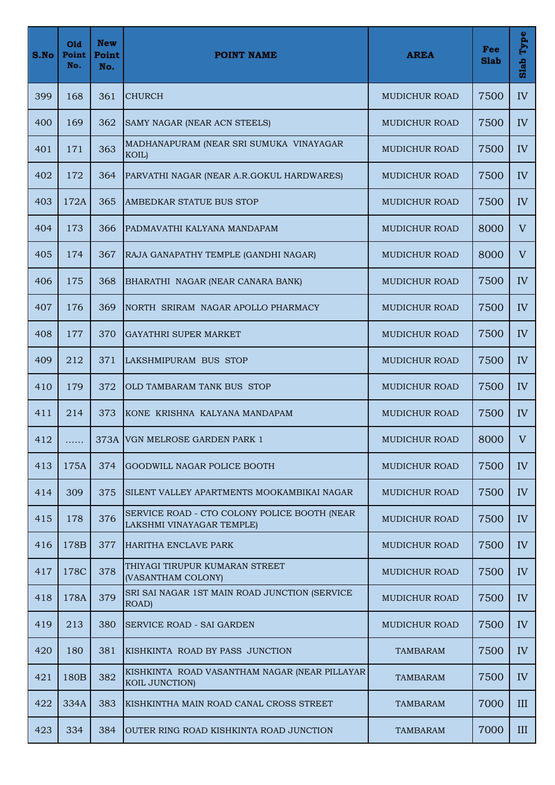| S.No | Old<br>Point<br>No. | <b>New</b><br>Point<br>No. | <b>POINT NAME</b>                                                         | <b>AREA</b>          | Fee<br><b>Slab</b> | Type<br>Slab |
|------|---------------------|----------------------------|---------------------------------------------------------------------------|----------------------|--------------------|--------------|
| 399  | 168                 | 361                        | <b>CHURCH</b>                                                             | <b>MUDICHUR ROAD</b> | 7500               | IV           |
| 400  | 169                 | 362                        | SAMY NAGAR (NEAR ACN STEELS)                                              | MUDICHUR ROAD        | 7500               | IV           |
| 401  | 171                 | 363                        | MADHANAPURAM (NEAR SRI SUMUKA VINAYAGAR<br>KOIL)                          | <b>MUDICHUR ROAD</b> | 7500               | IV           |
| 402  | 172                 | 364                        | PARVATHI NAGAR (NEAR A.R.GOKUL HARDWARES)                                 | <b>MUDICHUR ROAD</b> | 7500               | IV           |
| 403  | 172A                | 365                        | AMBEDKAR STATUE BUS STOP                                                  | <b>MUDICHUR ROAD</b> | 7500               | IV           |
| 404  | 173                 | 366                        | PADMAVATHI KALYANA MANDAPAM                                               | <b>MUDICHUR ROAD</b> | 8000               | V            |
| 405  | 174                 | 367                        | RAJA GANAPATHY TEMPLE (GANDHI NAGAR)                                      | <b>MUDICHUR ROAD</b> | 8000               | V            |
| 406  | 175                 | 368                        | BHARATHI NAGAR (NEAR CANARA BANK)                                         | MUDICHUR ROAD        | 7500               | IV           |
| 407  | 176                 | 369                        | NORTH SRIRAM NAGAR APOLLO PHARMACY                                        | <b>MUDICHUR ROAD</b> | 7500               | IV           |
| 408  | 177                 | 370                        | <b>GAYATHRI SUPER MARKET</b>                                              | <b>MUDICHUR ROAD</b> | 7500               | IV           |
| 409  | 212                 | 371                        | LAKSHMIPURAM BUS STOP                                                     | <b>MUDICHUR ROAD</b> | 7500               | IV           |
| 410  | 179                 | 372                        | OLD TAMBARAM TANK BUS STOP                                                | <b>MUDICHUR ROAD</b> | 7500               | IV           |
| 411  | 214                 | 373                        | KONE KRISHNA KALYANA MANDAPAM                                             | MUDICHUR ROAD        | 7500               | IV           |
| 412  | .                   |                            | 373A VGN MELROSE GARDEN PARK 1                                            | <b>MUDICHUR ROAD</b> | 8000               | $\mathbf V$  |
| 413  | 175A                | 374                        | <b>GOODWILL NAGAR POLICE BOOTH</b>                                        | <b>MUDICHUR ROAD</b> | 7500               | IV           |
| 414  | 309                 | 375                        | SILENT VALLEY APARTMENTS MOOKAMBIKAI NAGAR                                | <b>MUDICHUR ROAD</b> | 7500               | IV           |
| 415  | 178                 | 376                        | SERVICE ROAD - CTO COLONY POLICE BOOTH (NEAR<br>LAKSHMI VINAYAGAR TEMPLE) | MUDICHUR ROAD        | 7500               | IV           |
| 416  | 178B                | 377                        | HARITHA ENCLAVE PARK                                                      | MUDICHUR ROAD        | 7500               | IV           |
| 417  | 178C                | 378                        | THIYAGI TIRUPUR KUMARAN STREET<br>(VASANTHAM COLONY)                      | <b>MUDICHUR ROAD</b> | 7500               | IV           |
| 418  | 178A                | 379                        | SRI SAI NAGAR 1ST MAIN ROAD JUNCTION (SERVICE<br>ROAD)                    | MUDICHUR ROAD        | 7500               | IV           |
| 419  | 213                 | 380                        | <b>SERVICE ROAD - SAI GARDEN</b>                                          | <b>MUDICHUR ROAD</b> | 7500               | IV           |
| 420  | 180                 | 381                        | KISHKINTA ROAD BY PASS JUNCTION                                           | <b>TAMBARAM</b>      | 7500               | IV           |
| 421  | 180 <sub>B</sub>    | 382                        | KISHKINTA ROAD VASANTHAM NAGAR (NEAR PILLAYAR)<br>KOIL JUNCTION)          | <b>TAMBARAM</b>      | 7500               | IV           |
| 422  | 334A                | 383                        | KISHKINTHA MAIN ROAD CANAL CROSS STREET                                   | <b>TAMBARAM</b>      | 7000               | III          |
| 423  | 334                 | 384                        | OUTER RING ROAD KISHKINTA ROAD JUNCTION                                   | <b>TAMBARAM</b>      | 7000               | III          |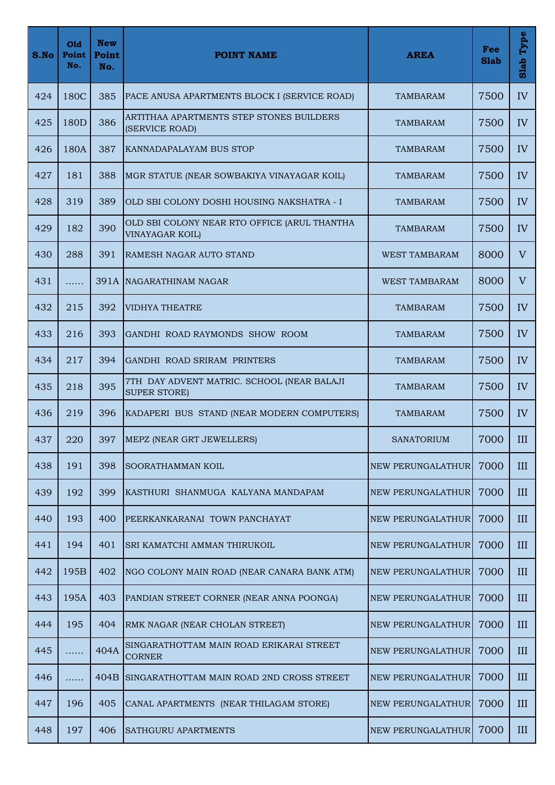| S.No | Old<br>Point<br>No. | <b>New</b><br>Point<br>No. | <b>POINT NAME</b>                                                      | <b>AREA</b>              | Fee<br><b>Slab</b> | Type<br>Slab |
|------|---------------------|----------------------------|------------------------------------------------------------------------|--------------------------|--------------------|--------------|
| 424  | 180C                | 385                        | PACE ANUSA APARTMENTS BLOCK I (SERVICE ROAD)                           | TAMBARAM                 | 7500               | IV           |
| 425  | 180 <sub>D</sub>    | 386                        | ARTITHAA APARTMENTS STEP STONES BUILDERS<br>(SERVICE ROAD)             | TAMBARAM                 | 7500               | IV           |
| 426  | 180A                | 387                        | <b>KANNADAPALAYAM BUS STOP</b>                                         | <b>TAMBARAM</b>          | 7500               | IV           |
| 427  | 181                 | 388                        | MGR STATUE (NEAR SOWBAKIYA VINAYAGAR KOIL)                             | <b>TAMBARAM</b>          | 7500               | IV           |
| 428  | 319                 | 389                        | OLD SBI COLONY DOSHI HOUSING NAKSHATRA - I                             | <b>TAMBARAM</b>          | 7500               | IV           |
| 429  | 182                 | 390                        | OLD SBI COLONY NEAR RTO OFFICE (ARUL THANTHA<br><b>VINAYAGAR KOIL)</b> | <b>TAMBARAM</b>          | 7500               | IV           |
| 430  | 288                 | 391                        | RAMESH NAGAR AUTO STAND                                                | <b>WEST TAMBARAM</b>     | 8000               | $\rm V$      |
| 431  | .                   |                            | 391A NAGARATHINAM NAGAR                                                | <b>WEST TAMBARAM</b>     | 8000               | V            |
| 432  | 215                 | 392                        | <b>VIDHYA THEATRE</b>                                                  | <b>TAMBARAM</b>          | 7500               | IV           |
| 433  | 216                 | 393                        | GANDHI ROAD RAYMONDS SHOW ROOM                                         | <b>TAMBARAM</b>          | 7500               | IV           |
| 434  | 217                 | 394                        | GANDHI ROAD SRIRAM PRINTERS                                            | <b>TAMBARAM</b>          | 7500               | IV           |
| 435  | 218                 | 395                        | 7TH DAY ADVENT MATRIC. SCHOOL (NEAR BALAJI<br><b>SUPER STORE)</b>      | <b>TAMBARAM</b>          | 7500               | IV           |
| 436  | 219                 | 396                        | KADAPERI BUS STAND (NEAR MODERN COMPUTERS)                             | <b>TAMBARAM</b>          | 7500               | IV           |
| 437  | 220                 | 397                        | MEPZ (NEAR GRT JEWELLERS)                                              | <b>SANATORIUM</b>        | 7000               | III          |
| 438  | 191                 | 398                        | SOORATHAMMAN KOIL                                                      | NEW PERUNGALATHUR        | 7000               | III          |
| 439  | 192                 | 399                        | KASTHURI SHANMUGA KALYANA MANDAPAM                                     | <b>NEW PERUNGALATHUR</b> | 7000               | III          |
| 440  | 193                 | 400                        | PEERKANKARANAI TOWN PANCHAYAT                                          | NEW PERUNGALATHUR        | 7000               | III          |
| 441  | 194                 | 401                        | SRI KAMATCHI AMMAN THIRUKOIL                                           | <b>NEW PERUNGALATHUR</b> | 7000               | III          |
| 442  | 195B                | 402                        | NGO COLONY MAIN ROAD (NEAR CANARA BANK ATM)                            | <b>NEW PERUNGALATHUR</b> | 7000               | III          |
| 443  | 195A                | 403                        | PANDIAN STREET CORNER (NEAR ANNA POONGA)                               | NEW PERUNGALATHUR        | 7000               | III          |
| 444  | 195                 | 404                        | RMK NAGAR (NEAR CHOLAN STREET)                                         | NEW PERUNGALATHUR        | 7000               | III          |
| 445  | .                   | 404A                       | SINGARATHOTTAM MAIN ROAD ERIKARAI STREET<br><b>CORNER</b>              | NEW PERUNGALATHUR        | 7000               | III          |
| 446  | .                   | 404B                       | SINGARATHOTTAM MAIN ROAD 2ND CROSS STREET                              | NEW PERUNGALATHUR        | 7000               | III          |
| 447  | 196                 | 405                        | CANAL APARTMENTS (NEAR THILAGAM STORE)                                 | <b>NEW PERUNGALATHUR</b> | 7000               | III          |
| 448  | 197                 | 406                        | <b>SATHGURU APARTMENTS</b>                                             | NEW PERUNGALATHUR        | 7000               | III          |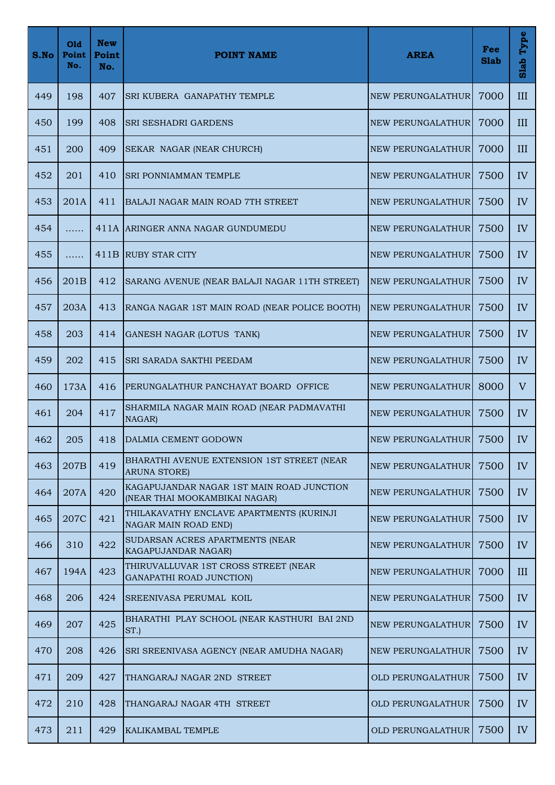| S.No | Old<br>Point<br>No. | <b>New</b><br>Point<br>No. | <b>POINT NAME</b>                                                          | <b>AREA</b>              | Fee<br><b>Slab</b> | Type<br>Slab |
|------|---------------------|----------------------------|----------------------------------------------------------------------------|--------------------------|--------------------|--------------|
| 449  | 198                 | 407                        | <b>SRI KUBERA GANAPATHY TEMPLE</b>                                         | NEW PERUNGALATHUR        | 7000               | III          |
| 450  | 199                 | 408                        | <b>SRI SESHADRI GARDENS</b>                                                | NEW PERUNGALATHUR        | 7000               | III          |
| 451  | 200                 | 409                        | SEKAR NAGAR (NEAR CHURCH)                                                  | NEW PERUNGALATHUR        | 7000               | III          |
| 452  | 201                 | 410                        | SRI PONNIAMMAN TEMPLE                                                      | NEW PERUNGALATHUR        | 7500               | IV           |
| 453  | 201A                | 411                        | <b>BALAJI NAGAR MAIN ROAD 7TH STREET</b>                                   | NEW PERUNGALATHUR        | 7500               | IV           |
| 454  | .                   |                            | 411A ARINGER ANNA NAGAR GUNDUMEDU                                          | NEW PERUNGALATHUR        | 7500               | IV           |
| 455  | .                   |                            | 411B RUBY STAR CITY                                                        | NEW PERUNGALATHUR        | 7500               | IV           |
| 456  | 201 <sub>B</sub>    | 412                        | SARANG AVENUE (NEAR BALAJI NAGAR 11TH STREET)                              | NEW PERUNGALATHUR        | 7500               | IV           |
| 457  | 203A                | 413                        | RANGA NAGAR 1ST MAIN ROAD (NEAR POLICE BOOTH)                              | <b>NEW PERUNGALATHUR</b> | 7500               | IV           |
| 458  | 203                 | 414                        | GANESH NAGAR (LOTUS TANK)                                                  | NEW PERUNGALATHUR        | 7500               | IV           |
| 459  | 202                 | 415                        | SRI SARADA SAKTHI PEEDAM                                                   | NEW PERUNGALATHUR        | 7500               | IV           |
| 460  | 173A                | 416                        | PERUNGALATHUR PANCHAYAT BOARD OFFICE                                       | NEW PERUNGALATHUR        | 8000               | V            |
| 461  | 204                 | 417                        | SHARMILA NAGAR MAIN ROAD (NEAR PADMAVATHI<br>NAGAR)                        | NEW PERUNGALATHUR        | 7500               | IV           |
| 462  | 205                 | 418                        | DALMIA CEMENT GODOWN                                                       | NEW PERUNGALATHUR        | 7500               | IV           |
| 463  | 207B                | 419                        | BHARATHI AVENUE EXTENSION 1ST STREET (NEAR<br><b>ARUNA STORE)</b>          | NEW PERUNGALATHUR        | 7500               | IV           |
| 464  | 207A                | 420                        | KAGAPUJANDAR NAGAR 1ST MAIN ROAD JUNCTION<br>(NEAR THAI MOOKAMBIKAI NAGAR) | <b>NEW PERUNGALATHUR</b> | 7500               | IV           |
| 465  | 207C                | 421                        | THILAKAVATHY ENCLAVE APARTMENTS (KURINJI<br>NAGAR MAIN ROAD END)           | NEW PERUNGALATHUR        | 7500               | IV           |
| 466  | 310                 | 422                        | SUDARSAN ACRES APARTMENTS (NEAR<br>KAGAPUJANDAR NAGAR)                     | NEW PERUNGALATHUR        | 7500               | IV           |
| 467  | 194A                | 423                        | THIRUVALLUVAR 1ST CROSS STREET (NEAR<br>GANAPATHI ROAD JUNCTION)           | NEW PERUNGALATHUR        | 7000               | III          |
| 468  | 206                 | 424                        | SREENIVASA PERUMAL KOIL                                                    | NEW PERUNGALATHUR        | 7500               | IV           |
| 469  | 207                 | 425                        | BHARATHI PLAY SCHOOL (NEAR KASTHURI BAI 2ND<br>ST.)                        | <b>NEW PERUNGALATHUR</b> | 7500               | IV           |
| 470  | 208                 | 426                        | SRI SREENIVASA AGENCY (NEAR AMUDHA NAGAR)                                  | NEW PERUNGALATHUR        | 7500               | IV           |
| 471  | 209                 | 427                        | THANGARAJ NAGAR 2ND STREET                                                 | OLD PERUNGALATHUR        | 7500               | IV           |
| 472  | 210                 | 428                        | THANGARAJ NAGAR 4TH STREET                                                 | <b>OLD PERUNGALATHUR</b> | 7500               | IV           |
| 473  | 211                 | 429                        | KALIKAMBAL TEMPLE                                                          | <b>OLD PERUNGALATHUR</b> | 7500               | IV           |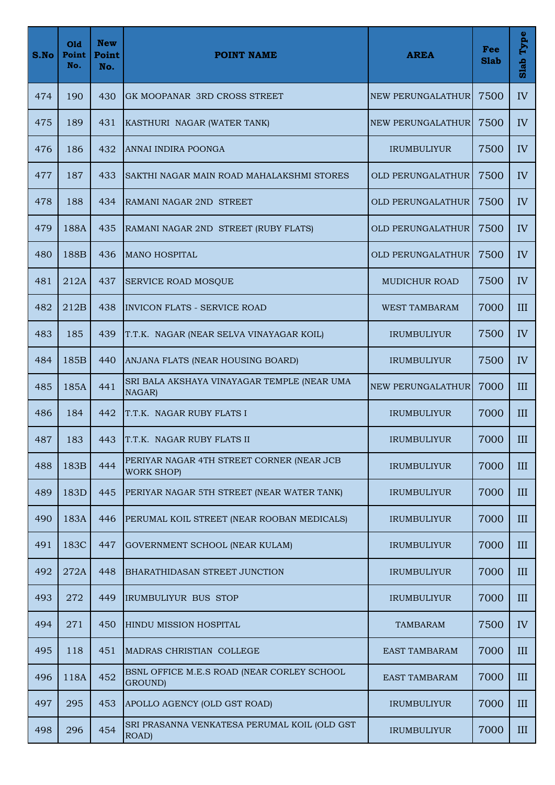| S.No | Old<br>Point<br>No. | <b>New</b><br>Point<br>No. | <b>POINT NAME</b>                                              | <b>AREA</b>              | Fee<br><b>Slab</b> | Type<br>Slab |
|------|---------------------|----------------------------|----------------------------------------------------------------|--------------------------|--------------------|--------------|
| 474  | 190                 | 430                        | <b>GK MOOPANAR 3RD CROSS STREET</b>                            | NEW PERUNGALATHUR        | 7500               | IV           |
| 475  | 189                 | 431                        | KASTHURI NAGAR (WATER TANK)                                    | NEW PERUNGALATHUR        | 7500               | IV           |
| 476  | 186                 | 432                        | ANNAI INDIRA POONGA                                            | <b>IRUMBULIYUR</b>       | 7500               | IV           |
| 477  | 187                 | 433                        | SAKTHI NAGAR MAIN ROAD MAHALAKSHMI STORES                      | <b>OLD PERUNGALATHUR</b> | 7500               | IV           |
| 478  | 188                 | 434                        | RAMANI NAGAR 2ND STREET                                        | OLD PERUNGALATHUR        | 7500               | IV           |
| 479  | 188A                | 435                        | RAMANI NAGAR 2ND STREET (RUBY FLATS)                           | <b>OLD PERUNGALATHUR</b> | 7500               | IV           |
| 480  | 188B                | 436                        | <b>MANO HOSPITAL</b>                                           | OLD PERUNGALATHUR        | 7500               | IV           |
| 481  | 212A                | 437                        | <b>SERVICE ROAD MOSQUE</b>                                     | <b>MUDICHUR ROAD</b>     | 7500               | IV           |
| 482  | 212B                | 438                        | <b>INVICON FLATS - SERVICE ROAD</b>                            | <b>WEST TAMBARAM</b>     | 7000               | III          |
| 483  | 185                 | 439                        | T.T.K. NAGAR (NEAR SELVA VINAYAGAR KOIL)                       | <b>IRUMBULIYUR</b>       | 7500               | IV           |
| 484  | 185B                | 440                        | ANJANA FLATS (NEAR HOUSING BOARD)                              | <b>IRUMBULIYUR</b>       | 7500               | IV           |
| 485  | 185A                | 441                        | SRI BALA AKSHAYA VINAYAGAR TEMPLE (NEAR UMA<br>NAGAR)          | <b>NEW PERUNGALATHUR</b> | 7000               | III          |
| 486  | 184                 | 442                        | T.T.K. NAGAR RUBY FLATS I                                      | <b>IRUMBULIYUR</b>       | 7000               | III          |
| 487  | 183                 | 443                        | T.T.K. NAGAR RUBY FLATS II                                     | <b>IRUMBULIYUR</b>       | 7000               | III          |
| 488  | 183B                | 444                        | PERIYAR NAGAR 4TH STREET CORNER (NEAR JCB<br><b>WORK SHOP)</b> | <b>IRUMBULIYUR</b>       | 7000               | III          |
| 489  | 183D                | 445                        | PERIYAR NAGAR 5TH STREET (NEAR WATER TANK)                     | <b>IRUMBULIYUR</b>       | 7000               | III          |
| 490  | 183A                | 446                        | PERUMAL KOIL STREET (NEAR ROOBAN MEDICALS)                     | <b>IRUMBULIYUR</b>       | 7000               | III          |
| 491  | 183C                | 447                        | GOVERNMENT SCHOOL (NEAR KULAM)                                 | <b>IRUMBULIYUR</b>       | 7000               | III          |
| 492  | 272A                | 448                        | BHARATHIDASAN STREET JUNCTION                                  | <b>IRUMBULIYUR</b>       | 7000               | III          |
| 493  | 272                 | 449                        | IRUMBULIYUR BUS STOP                                           | <b>IRUMBULIYUR</b>       | 7000               | III          |
| 494  | 271                 | 450                        | HINDU MISSION HOSPITAL                                         | <b>TAMBARAM</b>          | 7500               | IV           |
| 495  | 118                 | 451                        | MADRAS CHRISTIAN COLLEGE                                       | <b>EAST TAMBARAM</b>     | 7000               | III          |
| 496  | 118A                | 452                        | BSNL OFFICE M.E.S ROAD (NEAR CORLEY SCHOOL<br>GROUND)          | <b>EAST TAMBARAM</b>     | 7000               | III          |
| 497  | 295                 | 453                        | APOLLO AGENCY (OLD GST ROAD)                                   | <b>IRUMBULIYUR</b>       | 7000               | III          |
| 498  | 296                 | 454                        | SRI PRASANNA VENKATESA PERUMAL KOIL (OLD GST<br>ROAD)          | <b>IRUMBULIYUR</b>       | 7000               | III          |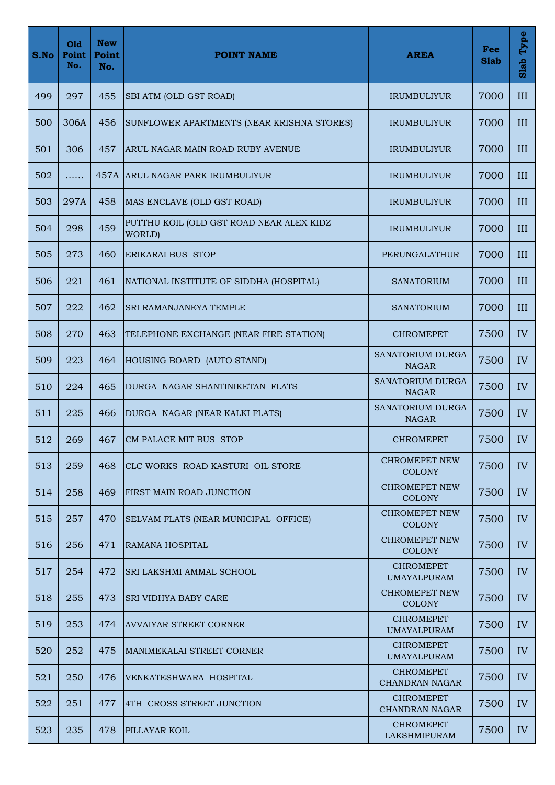| S.No | Old<br>Point<br>No. | <b>New</b><br>Point<br>No. | <b>POINT NAME</b>                                  | <b>AREA</b>                               | Fee<br><b>Slab</b> | Type<br>Slab |
|------|---------------------|----------------------------|----------------------------------------------------|-------------------------------------------|--------------------|--------------|
| 499  | 297                 | 455                        | SBI ATM (OLD GST ROAD)                             | <b>IRUMBULIYUR</b>                        | 7000               | III          |
| 500  | 306A                | 456                        | SUNFLOWER APARTMENTS (NEAR KRISHNA STORES)         | <b>IRUMBULIYUR</b>                        | 7000               | III          |
| 501  | 306                 | 457                        | ARUL NAGAR MAIN ROAD RUBY AVENUE                   | <b>IRUMBULIYUR</b>                        | 7000               | III          |
| 502  | .                   |                            | 457A ARUL NAGAR PARK IRUMBULIYUR                   | <b>IRUMBULIYUR</b>                        | 7000               | III          |
| 503  | 297A                | 458                        | MAS ENCLAVE (OLD GST ROAD)                         | <b>IRUMBULIYUR</b>                        | 7000               | III          |
| 504  | 298                 | 459                        | PUTTHU KOIL (OLD GST ROAD NEAR ALEX KIDZ<br>WORLD) | <b>IRUMBULIYUR</b>                        | 7000               | III          |
| 505  | 273                 | 460                        | <b>ERIKARAI BUS STOP</b>                           | PERUNGALATHUR                             | 7000               | III          |
| 506  | 221                 | 461                        | NATIONAL INSTITUTE OF SIDDHA (HOSPITAL)            | SANATORIUM                                | 7000               | III          |
| 507  | 222                 | 462                        | SRI RAMANJANEYA TEMPLE                             | <b>SANATORIUM</b>                         | 7000               | III          |
| 508  | 270                 | 463                        | TELEPHONE EXCHANGE (NEAR FIRE STATION)             | <b>CHROMEPET</b>                          | 7500               | IV           |
| 509  | 223                 | 464                        | HOUSING BOARD (AUTO STAND)                         | SANATORIUM DURGA<br><b>NAGAR</b>          | 7500               | IV           |
| 510  | 224                 | 465                        | DURGA NAGAR SHANTINIKETAN FLATS                    | <b>SANATORIUM DURGA</b><br><b>NAGAR</b>   | 7500               | IV           |
| 511  | 225                 | 466                        | DURGA NAGAR (NEAR KALKI FLATS)                     | SANATORIUM DURGA<br><b>NAGAR</b>          | 7500               | IV           |
| 512  | 269                 | 467                        | CM PALACE MIT BUS STOP                             | <b>CHROMEPET</b>                          | 7500               | IV           |
| 513  | 259                 | 468                        | CLC WORKS ROAD KASTURI OIL STORE                   | <b>CHROMEPET NEW</b><br><b>COLONY</b>     | 7500               | IV           |
| 514  | 258                 | 469                        | FIRST MAIN ROAD JUNCTION                           | <b>CHROMEPET NEW</b><br><b>COLONY</b>     | 7500               | IV           |
| 515  | 257                 | 470                        | SELVAM FLATS (NEAR MUNICIPAL OFFICE)               | <b>CHROMEPET NEW</b><br><b>COLONY</b>     | 7500               | IV           |
| 516  | 256                 | 471                        | RAMANA HOSPITAL                                    | <b>CHROMEPET NEW</b><br><b>COLONY</b>     | 7500               | IV           |
| 517  | 254                 | 472                        | <b>SRI LAKSHMI AMMAL SCHOOL</b>                    | <b>CHROMEPET</b><br><b>UMAYALPURAM</b>    | 7500               | IV           |
| 518  | 255                 | 473                        | <b>SRI VIDHYA BABY CARE</b>                        | <b>CHROMEPET NEW</b><br><b>COLONY</b>     | 7500               | IV           |
| 519  | 253                 | 474                        | <b>AVVAIYAR STREET CORNER</b>                      | <b>CHROMEPET</b><br><b>UMAYALPURAM</b>    | 7500               | IV           |
| 520  | 252                 | 475                        | MANIMEKALAI STREET CORNER                          | <b>CHROMEPET</b><br><b>UMAYALPURAM</b>    | 7500               | IV           |
| 521  | 250                 | 476                        | VENKATESHWARA HOSPITAL                             | <b>CHROMEPET</b><br>CHANDRAN NAGAR        | 7500               | IV           |
| 522  | 251                 | 477                        | 4TH CROSS STREET JUNCTION                          | <b>CHROMEPET</b><br><b>CHANDRAN NAGAR</b> | 7500               | IV           |
| 523  | 235                 | 478                        | PILLAYAR KOIL                                      | <b>CHROMEPET</b><br>LAKSHMIPURAM          | 7500               | IV           |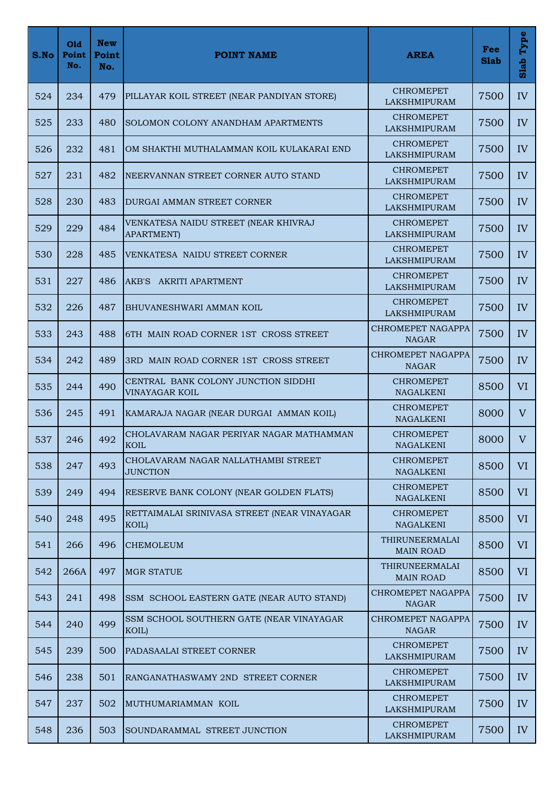| S.No | Old<br>Point<br>No. | <b>New</b><br>Point<br>No. | <b>POINT NAME</b>                                          | <b>AREA</b>                             | Fee<br><b>Slab</b> | Type<br>Slab   |
|------|---------------------|----------------------------|------------------------------------------------------------|-----------------------------------------|--------------------|----------------|
| 524  | 234                 | 479                        | PILLAYAR KOIL STREET (NEAR PANDIYAN STORE)                 | CHROMEPET<br>LAKSHMIPURAM               | 7500               | IV             |
| 525  | 233                 | 480                        | SOLOMON COLONY ANANDHAM APARTMENTS                         | <b>CHROMEPET</b><br><b>LAKSHMIPURAM</b> | 7500               | IV             |
| 526  | 232                 | 481                        | OM SHAKTHI MUTHALAMMAN KOIL KULAKARAI END                  | <b>CHROMEPET</b><br>LAKSHMIPURAM        | 7500               | IV             |
| 527  | 231                 | 482                        | NEERVANNAN STREET CORNER AUTO STAND                        | <b>CHROMEPET</b><br><b>LAKSHMIPURAM</b> | 7500               | IV             |
| 528  | 230                 | 483                        | DURGAI AMMAN STREET CORNER                                 | <b>CHROMEPET</b><br><b>LAKSHMIPURAM</b> | 7500               | IV             |
| 529  | 229                 | 484                        | VENKATESA NAIDU STREET (NEAR KHIVRAJ<br><b>APARTMENT</b> ) | <b>CHROMEPET</b><br>LAKSHMIPURAM        | 7500               | IV             |
| 530  | 228                 | 485                        | VENKATESA NAIDU STREET CORNER                              | <b>CHROMEPET</b><br><b>LAKSHMIPURAM</b> | 7500               | IV             |
| 531  | 227                 | 486                        | AKB'S AKRITI APARTMENT                                     | <b>CHROMEPET</b><br><b>LAKSHMIPURAM</b> | 7500               | IV             |
| 532  | 226                 | 487                        | BHUVANESHWARI AMMAN KOIL                                   | <b>CHROMEPET</b><br>LAKSHMIPURAM        | 7500               | IV             |
| 533  | 243                 | 488                        | <b>IGTH MAIN ROAD CORNER 1ST CROSS STREET</b>              | CHROMEPET NAGAPPA<br><b>NAGAR</b>       | 7500               | IV             |
| 534  | 242                 | 489                        | 3RD MAIN ROAD CORNER 1ST CROSS STREET                      | CHROMEPET NAGAPPA<br><b>NAGAR</b>       | 7500               | IV             |
| 535  | 244                 | 490                        | CENTRAL BANK COLONY JUNCTION SIDDHI<br>VINAYAGAR KOIL      | <b>CHROMEPET</b><br><b>NAGALKENI</b>    | 8500               | VI             |
| 536  | 245                 | 491                        | KAMARAJA NAGAR (NEAR DURGAI AMMAN KOIL)                    | <b>CHROMEPET</b><br><b>NAGALKENI</b>    | 8000               | V              |
| 537  | 246                 | 492                        | CHOLAVARAM NAGAR PERIYAR NAGAR MATHAMMAN<br><b>KOIL</b>    | CHROMEPET<br><b>NAGALKENI</b>           | 8000               | V              |
| 538  | 247                 | 493                        | CHOLAVARAM NAGAR NALLATHAMBI STREET<br><b>JUNCTION</b>     | <b>CHROMEPET</b><br><b>NAGALKENI</b>    | 8500               | <b>VI</b>      |
| 539  | 249                 | 494                        | RESERVE BANK COLONY (NEAR GOLDEN FLATS)                    | <b>CHROMEPET</b><br><b>NAGALKENI</b>    | 8500               | VI <sup></sup> |
| 540  | 248                 | 495                        | RETTAIMALAI SRINIVASA STREET (NEAR VINAYAGAR<br>KOIL)      | <b>CHROMEPET</b><br><b>NAGALKENI</b>    | 8500               | VI             |
| 541  | 266                 | 496                        | <b>CHEMOLEUM</b>                                           | THIRUNEERMALAI<br><b>MAIN ROAD</b>      | 8500               | VI             |
| 542  | 266A                | 497                        | <b>MGR STATUE</b>                                          | THIRUNEERMALAI<br><b>MAIN ROAD</b>      | 8500               | VI             |
| 543  | 241                 | 498                        | SSM SCHOOL EASTERN GATE (NEAR AUTO STAND)                  | CHROMEPET NAGAPPA<br><b>NAGAR</b>       | 7500               | IV             |
| 544  | 240                 | 499                        | SSM SCHOOL SOUTHERN GATE (NEAR VINAYAGAR<br>KOIL)          | CHROMEPET NAGAPPA<br><b>NAGAR</b>       | 7500               | IV             |
| 545  | 239                 | 500                        | PADASAALAI STREET CORNER                                   | <b>CHROMEPET</b><br><b>LAKSHMIPURAM</b> | 7500               | IV             |
| 546  | 238                 | 501                        | RANGANATHASWAMY 2ND STREET CORNER                          | <b>CHROMEPET</b><br>LAKSHMIPURAM        | 7500               | IV             |
| 547  | 237                 | 502                        | MUTHUMARIAMMAN KOIL                                        | <b>CHROMEPET</b><br><b>LAKSHMIPURAM</b> | 7500               | IV             |
| 548  | 236                 | 503                        | SOUNDARAMMAL STREET JUNCTION                               | <b>CHROMEPET</b><br>LAKSHMIPURAM        | 7500               | IV             |